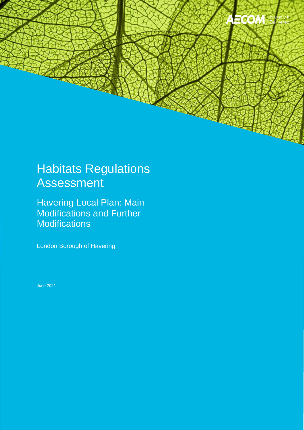

# Habitats Regulations Assessment

Havering Local Plan: Main Modifications and Further **Modifications** 

London Borough of Havering

June 2021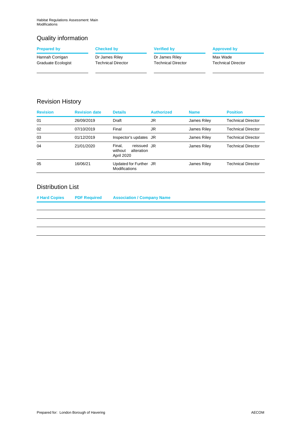# Quality information

|                                                                  | <b>Approved by</b>                                                |
|------------------------------------------------------------------|-------------------------------------------------------------------|
|                                                                  | Max Wade<br><b>Technical Director</b>                             |
| <b>Checked by</b><br>Dr James Riley<br><b>Technical Director</b> | <b>Verified by</b><br>Dr James Riley<br><b>Technical Director</b> |

# Revision History

| <b>Revision</b> | <b>Revision date</b> | <b>Details</b>                                               | <b>Authorized</b> | <b>Name</b> | <b>Position</b>           |
|-----------------|----------------------|--------------------------------------------------------------|-------------------|-------------|---------------------------|
| 01              | 26/09/2019           | Draft                                                        | JR                | James Riley | Technical Director        |
| 02              | 07/10/2019           | Final                                                        | JR                | James Riley | Technical Director        |
| 03              | 01/12/2019           | Inspector's updates JR                                       |                   | James Riley | Technical Director        |
| 04              | 21/01/2020           | reissued JR<br>Final.<br>alteration<br>without<br>April 2020 |                   | James Riley | <b>Technical Director</b> |
| 05              | 16/06/21             | Updated for Further JR<br><b>Modifications</b>               |                   | James Riley | Technical Director        |

# Distribution List

| # Hard Copies | <b>PDF Required</b> | <b>Association / Company Name</b> |
|---------------|---------------------|-----------------------------------|
|               |                     |                                   |
|               |                     |                                   |
|               |                     |                                   |
|               |                     |                                   |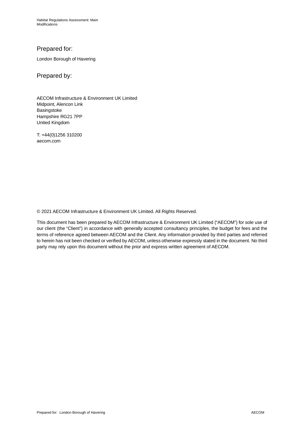# Prepared for:

London Borough of Havering

# Prepared by:

AECOM Infrastructure & Environment UK Limited Midpoint, Alencon Link Basingstoke Hampshire RG21 7PP United Kingdom

T: +44(0)1256 310200 [aecom.com](https://aecom.com) 

© 2021 AECOM Infrastructure & Environment UK Limited. All Rights Reserved.

 our client (the "Client") in accordance with generally accepted consultancy principles, the budget for fees and the to herein has not been checked or verified by AECOM, unless otherwise expressly stated in the document. No third party may rely upon this document without the prior and express written agreement of AECOM. This document has been prepared by AECOM Infrastructure & Environment UK Limited ("AECOM") for sole use of terms of reference agreed between AECOM and the Client. Any information provided by third parties and referred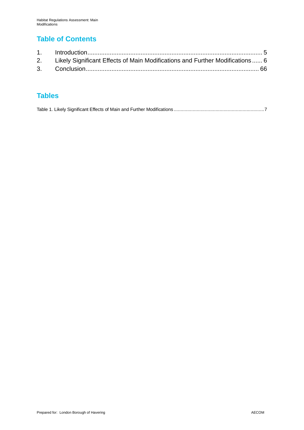# **Table of Contents**

| 2. Likely Significant Effects of Main Modifications and Further Modifications  6 |  |
|----------------------------------------------------------------------------------|--|
|                                                                                  |  |

# **Tables**

|--|--|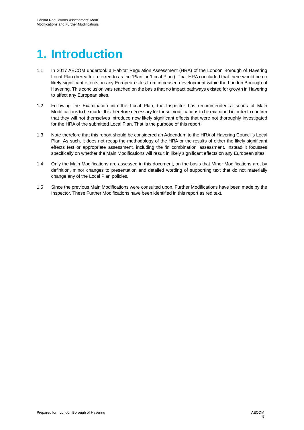# **1. Introduction**

- Local Plan (hereafter referred to as the 'Plan' or 'Local Plan'). That HRA concluded that there would be no Havering. This conclusion was reached on the basis that no impact pathways existed for growth in Havering 1.1 In 2017 AECOM undertook a Habitat Regulation Assessment (HRA) of the London Borough of Havering likely significant effects on any European sites from increased development within the London Borough of to affect any European sites.
- Modifications to be made. It is therefore necessary for those modifications to be examined in order to confirm for the HRA of the submitted Local Plan. That is the purpose of this report. 1.2 Following the Examination into the Local Plan, the Inspector has recommended a series of Main that they will not themselves introduce new likely significant effects that were not thoroughly investigated
- Plan. As such, it does not recap the methodology of the HRA or the results of either the likely significant effects test or appropriate assessment, including the 'in combination' assessment. Instead it focusses 1.3 Note therefore that this report should be considered an Addendum to the HRA of Havering Council's Local specifically on whether the Main Modifications will result in likely significant effects on any European sites.
- 1.4 Only the Main Modifications are assessed in this document, on the basis that Minor Modifications are, by definition, minor changes to presentation and detailed wording of supporting text that do not materially change any of the Local Plan policies.
- 1.5 Since the previous Main Modifications were consulted upon, Further Modifications have been made by the Inspector. These Further Modifications have been identified in this report as red text.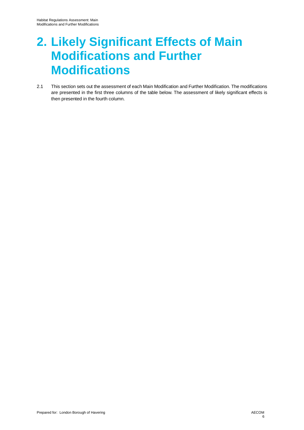# **2. Likely Significant Effects of Main Modifications and Further Modifications**

 2.1 This section sets out the assessment of each Main Modification and Further Modification. The modifications are presented in the first three columns of the table below. The assessment of likely significant effects is then presented in the fourth column.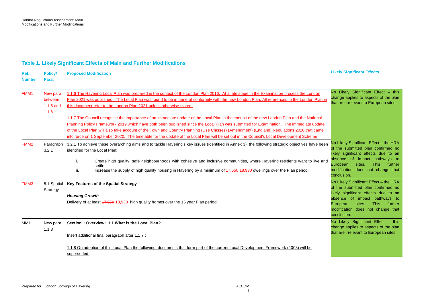# **Table 1. Likely Significant Effects of Main and Further Modifications**

 1.1.6 The Havering Local Plan was prepared in the context of the London Plan 2016. At a late stage in the Examination process the London 1.1.7 The Council recognise the importance of an immediate update of the Local Plan in the context of the new London Plan and the National into force on 1 September 2020. The timetable for the update of the Local Plan will be set out in the Council's Local Development Scheme. No Likely Significant Effect – this change applies to aspects of the plan Increase the supply of high quality housing in Havering by a minimum of 47,550 18,930 dwellings over the Plan period; likely significant effects due to an likely significant effects due to an No Likely Significant Effect – this change applies to aspects of the plan **Likely Significant Effects Ref. Policy/ Proposed Modification Number Para.**  FMM1 FMM2 New para. between 1.1.5 and 1.1.6 Paragraph 3.2.1 To achieve these overarching aims and to tackle Havering's key issues (identified in Annex 3), the following strategic objectives have been 3.2.1 Plan 2021 was published. The Local Plan was found to be in general conformity with the new London Plan. All references to the London Plan in this document refer to the London Plan 2021 unless otherwise stated. Planning Policy Framework 2019 which have both been published since the Local Plan was submitted for Examination. The immediate update of the Local Plan will also take account of the Town and Country Planning (Use Classes) (Amendment) (England) Regulations 2020 that came identified for the Local Plan: i. ii. Create high quality, safe neighbourhoods with cohesive and inclusive communities, where Havering residents want to live and settle; that are irrelevant to European sites No Likely Significant Effect – the HRA of the submitted plan confirmed no absence of impact pathways to European sites. This further modification does not change that conclusion. FMM3 5.1 Spatial **Key Features of the Spatial Strategy Strategy** *Housing Growth*  Delivery of at least 47,550 18,930 high quality homes over the 15 year Plan period; No Likely Significant Effect – the HRA of the submitted plan confirmed no absence of impact pathways to European sites. This further modification does not change that conclusion. that are irrelevant to European sites MM1 New para. **Section 1 Overview: 1.1 What is the Local Plan?**  1.1.8 Insert additional final paragraph after 1.1.7 : 1.1.8 On adoption of this Local Plan the following documents that form part of the current Local Development Framework (2008) will be superseded: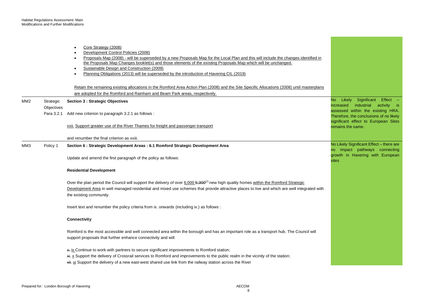|     |                          | Core Strategy (2008)<br>Development Control Policies (2008)<br>Proposals Map (2008) - will be superseded by a new Proposals Map for the Local Plan and this will include the changes identified in<br>the Proposals Map Changes booklet(s) and those elements of the existing Proposals Map which will be unchanged.<br>Sustainable Design and Construction (2009)<br>$\bullet$<br>Planning Obligations (2013) will be superseded by the introduction of Havering CIL (2019) |                                                                                                                      |
|-----|--------------------------|------------------------------------------------------------------------------------------------------------------------------------------------------------------------------------------------------------------------------------------------------------------------------------------------------------------------------------------------------------------------------------------------------------------------------------------------------------------------------|----------------------------------------------------------------------------------------------------------------------|
|     |                          | Retain the remaining existing allocations in the Romford Area Action Plan (2008) and the Site Specific Allocations (2008) until masterplans<br>are adopted for the Romford and Rainham and Beam Park areas, respectively.                                                                                                                                                                                                                                                    |                                                                                                                      |
| MM2 | Strategic                | <b>Section 3: Strategic Objectives</b>                                                                                                                                                                                                                                                                                                                                                                                                                                       | No Likely Significant Effect -<br>industrial<br>increased<br>activity is                                             |
|     | Objectives<br>Para 3.2.1 | Add new criterion to paragraph 3.2.1 as follows :                                                                                                                                                                                                                                                                                                                                                                                                                            | assessed within the existing HRA.<br>Therefore, the conclusions of no likely<br>significant effect to European Sites |
|     |                          | xxii. Support greater use of the River Thames for freight and passenger transport                                                                                                                                                                                                                                                                                                                                                                                            | remains the same.                                                                                                    |
|     |                          | and renumber the final criterion as xxiii.                                                                                                                                                                                                                                                                                                                                                                                                                                   |                                                                                                                      |
| ММЗ | Policy 1                 | Section 6 : Strategic Development Areas : 6.1 Romford Strategic Development Area                                                                                                                                                                                                                                                                                                                                                                                             | No Likely Significant Effect - there are<br>no impact pathways connecting                                            |
|     |                          | Update and amend the first paragraph of the policy as follows:                                                                                                                                                                                                                                                                                                                                                                                                               | growth in Havering with European<br>sites                                                                            |
|     |                          | <b>Residential Development</b>                                                                                                                                                                                                                                                                                                                                                                                                                                               |                                                                                                                      |
|     |                          | Over the plan period the Council will support the delivery of over 6,000 6,300 <sup>(2)</sup> new high quality homes within the Romford Strategic<br>Development Area in well managed residential and mixed use schemes that provide attractive places to live and which are well integrated with<br>the existing community.                                                                                                                                                 |                                                                                                                      |
|     |                          | Insert text and renumber the policy criteria from ix. onwards (including ix.) as follows :                                                                                                                                                                                                                                                                                                                                                                                   |                                                                                                                      |
|     |                          | Connectivity                                                                                                                                                                                                                                                                                                                                                                                                                                                                 |                                                                                                                      |
|     |                          | Romford is the most accessible and well connected area within the borough and has an important role as a transport hub. The Council will<br>support proposals that further enhance connectivity and will:                                                                                                                                                                                                                                                                    |                                                                                                                      |
|     |                          | * ix Continue to work with partners to secure significant improvements to Romford station;<br>xi. x Support the delivery of Crossrail services to Romford and improvements to the public realm in the vicinity of the station;<br>xii. xi Support the delivery of a new east-west shared use link from the railway station across the River                                                                                                                                  |                                                                                                                      |

and the control of the control of the control of the control of the control of the control of the control of the control of the control of the control of the control of the control of the control of the control of the cont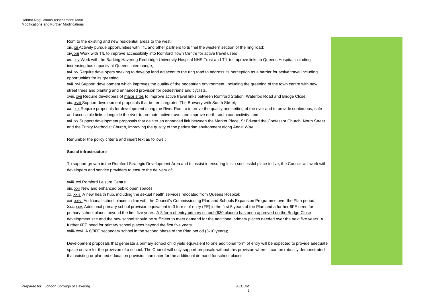Rom to the existing and new residential areas to the west;

<del>xiii</del>. <u>xii </u>Actively pursue opportunities with TfL and other partners to tunnel the western section of the ring road;

**xiv.** xiii Work with TfL to improve accessibility into Romford Town Centre for active travel users;

xv. xiv Work with the Barking Havering Redbridge University Hospital NHS Trust and TfL to improve links to Queens Hospital including increasing bus capacity at Queens interchange;

<del>xvi</del>. <u>xv </u>Require developers seeking to develop land adjacent to the ring road to address its perception as a barrier for active travel including opportunities for its greening;

**xvii.** Xvi Support development which improves the quality of the pedestrian environment, including the greening of the town centre with new street trees and planting and enhanced provision for pedestrians and cyclists.

**xviii.** Xvii Require developers of major sites to improve active travel links between Romford Station, Waterloo Road and Bridge Close;

**xix.** xviii Support development proposals that better integrates The Brewery with South Street;

<del>xx</del>. xix Require proposals for development along the River Rom to improve the quality and setting of the river and to provide continuous, safe and accessible links alongside the river to promote active travel and improve north-south connectivity; and

 and the Trinity Methodist Church, improving the quality of the pedestrian environment along Angel Way. **xxi.** XX Support development proposals that deliver an enhanced link between the Market Place, St Edward the Confessor Church, North Street

Renumber the policy criteria and insert text as follows :

#### **Social infrastructure**

 developers and service providers to ensure the delivery of: To support growth in the Romford Strategic Development Area and to assist in ensuring it is a successful place to live, the Council will work with

xviii. xxi Romford Leisure Centre

**xix.** xxii New and enhanced public open spaces

**XX.** XXIII A new health hub, including the sexual health services relocated from Queens Hospital;

xxi–<u>xxiv.</u> Additional school places in line with the Council's Commissioning Plan and Schools Expansion Programme over the Plan period; Xxii- xxv. Additional primary school provision equivalent to 3 forms of entry (FE) in the first 5 years of the Plan and a further 6FE need for development site and the new school should be sufficient to meet demand for the additional primary places needed over the next five years. A primary school places beyond the first five years. A 3 form of entry primary school (630 places) has been approved on the Bridge Close further 6FE need for primary school places beyond the first five years

**xxiii.** xxvi. A 6/8FE secondary school in the second phase of the Plan period (5-10 years);

Development proposals that generate a primary school child yield equivalent to one additional form of entry will be expected to provide adequate space on site for the provision of a school. The Council will only support proposals without this provision where it can be robustly demonstrated that existing or planned education provision can cater for the additional demand for school places.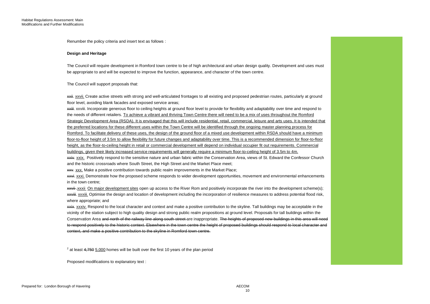Renumber the policy criteria and insert text as follows :

#### **Design and Heritage**

The Council will require development in Romford town centre to be of high architectural and urban design quality. Development and uses must be appropriate to and will be expected to improve the function, appearance, and character of the town centre.

The Council will support proposals that:

**xxii.** XXVII. Create active streets with strong and well-articulated frontages to all existing and proposed pedestrian routes, particularly at ground floor level, avoiding blank facades and exposed service areas;

 Romford. To facilitate delivery of these uses, the design of the ground floor of a mixed use development within RSDA should have a minimum floor-to-floor height of 3.5m to allow flexibility for future changes and adaptability over time. This is a recommended dimension for floor-to-floor xxiii. xxviii. Incorporate generous floor to ceiling heights at ground floor level to provide for flexibility and adaptability over time and respond to the needs of different retailers. To achieve a vibrant and thriving Town Centre there will need to be a mix of uses throughout the Romford Strategic Development Area (RSDA). It is envisaged that this will include residential, retail, commercial, leisure and arts uses. It is intended that the preferred locations for these different uses within the Town Centre will be identified through the ongoing master planning process for height, as the floor-to-ceiling height in retail or commercial development will depend on individual occupier fit out requirements. Commercial buildings, given their likely increased service requirements will generally require a minimum floor-to-ceiling height of 3.5m to 4m.

**xxiv.** xxix. Positively respond to the sensitive nature and urban fabric within the Conservation Area, views of St. Edward the Confessor Church and the historic crossroads where South Street, the High Street and the Market Place meet;

**xxv**. XXX. Make a positive contribution towards public realm improvements in the Market Place;

**xxvi.** Demonstrate how the proposed scheme responds to wider development opportunities, movement and environmental enhancements in the town centre;

**xxvii**-xxxii On major development sites open up access to the River Rom and positively incorporate the river into the development scheme(s); **XXVIII.** XXXIII. Optimise the design and location of development including the incorporation of resilience measures to address potential flood risk, where appropriate; and

xxix. xxxiv. Respond to the local character and context and make a positive contribution to the skyline. Tall buildings may be acceptable in the vicinity of the station subject to high quality design and strong public realm propositions at ground level. Proposals for tall buildings within the Conservation Area <del>and north of the railway line along south street a</del>re inappropriate. <del>The heights of proposed new buildings in this area will need</del> to respond positively to the historic context. Elsewhere in the town centre the height of proposed buildings should respond to local character and context, and make a positive contribution to the skyline in Romford town centre.

 $2$  at least  $4,750$   $5,000$  homes will be built over the first 10 years of the plan period

Proposed modifications to explanatory text :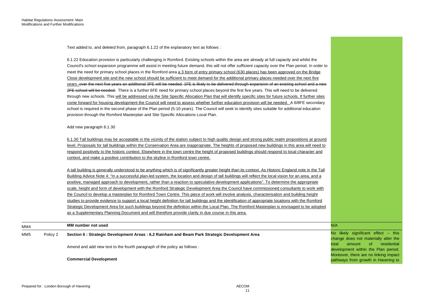Text added to, and deleted from, paragraph 6.1.22 of the explanatory text as follows :

|     |          | Amend and add new text to the fourth paragraph of the policy as follows:<br><b>Commercial Development</b>                                                | residential<br>total<br><sub>of</sub><br>amount<br>development within the Plan period.<br>Moreover, there are no linking impact<br>pathways from growth in Havering to |
|-----|----------|----------------------------------------------------------------------------------------------------------------------------------------------------------|------------------------------------------------------------------------------------------------------------------------------------------------------------------------|
| MM5 | Policy 2 | Section 6 : Strategic Development Areas : 6.2 Rainham and Beam Park Strategic Development Area                                                           | No likely significant effect - this<br>change does not materially alter the                                                                                            |
| MM4 |          | MM number not used                                                                                                                                       | N/A                                                                                                                                                                    |
|     |          | as a Supplementary Planning Document and will therefore provide clarity in due course in this area.                                                      |                                                                                                                                                                        |
|     |          | Strategic Development Area for such buildings beyond the definition within the Local Plan. The Romford Masterplan is envisaged to be adopted             |                                                                                                                                                                        |
|     |          | studies to provide evidence to support a local height definition for tall buildings and the identification of appropriate locations with the Romford     |                                                                                                                                                                        |
|     |          | the Council to develop a masterplan for Romford Town Centre. This piece of work will involve analysis, characterisation and building height              |                                                                                                                                                                        |
|     |          | scale, height and form of development with the Romford Strategic Development Area the Council have commissioned consultants to work with                 |                                                                                                                                                                        |
|     |          | positive, managed approach to development, rather than a reaction to speculative development applications". To determine the appropriate                 |                                                                                                                                                                        |
|     |          | Building Advice Note 4: "In a successful plan-led system, the location and design of tall buildings will reflect the local vision for an area, and a     |                                                                                                                                                                        |
|     |          | A tall building is generally understood to be anything which is of significantly greater height than its context. As Historic England note in the Tall   |                                                                                                                                                                        |
|     |          | context, and make a positive contribution to the skyline in Romford town centre.                                                                         |                                                                                                                                                                        |
|     |          | respond positively to the historic context. Elsewhere in the town centre the height of proposed buildings should respond to local character and          |                                                                                                                                                                        |
|     |          | level. Proposals for tall buildings within the Conservation Area are inappropriate. The heights of proposed new buildings in this area will need to      |                                                                                                                                                                        |
|     |          | 6.1.30 Tall buildings may be acceptable in the vicinity of the station subject to high quality design and strong public realm propositions at ground     |                                                                                                                                                                        |
|     |          | Add new paragraph 6.1.30                                                                                                                                 |                                                                                                                                                                        |
|     |          | provision through the Romford Masterplan and Site Specific Allocations Local Plan.                                                                       |                                                                                                                                                                        |
|     |          | school is required in the second phase of the Plan period (5-10 years). The Council will seek to identify sites suitable for additional education        |                                                                                                                                                                        |
|     |          | come forward for housing development the Council will need to assess whether further education provision will be needed. A 6/8FE secondary               |                                                                                                                                                                        |
|     |          | through new schools. This will be addressed via the Site Specific Allocation Plan that will identify specific sites for future schools. If further sites |                                                                                                                                                                        |
|     |          | 2FE school will be needed. There is a further 6FE need for primary school places beyond the first five years. This will need to be delivered             |                                                                                                                                                                        |
|     |          | years.-over the next five years an additional 3FE will be needed. 1FE is likely to be delivered through expansion of an existing school and a new        |                                                                                                                                                                        |
|     |          | Close development site and the new school should be sufficient to meet demand for the additional primary places needed over the next five                |                                                                                                                                                                        |
|     |          | meet the need for primary school places in the Romford area a 3 form of entry primary school (630 places) has been approved on the Bridge                |                                                                                                                                                                        |
|     |          | Council's school expansion programme will assist in meeting future demand, this will not offer sufficient capacity over the Plan period. In order to     |                                                                                                                                                                        |
|     |          | 6.1.22 Education provision is particularly challenging in Romford. Existing schools within the area are already at full capacity and whilst the          |                                                                                                                                                                        |
|     |          |                                                                                                                                                          |                                                                                                                                                                        |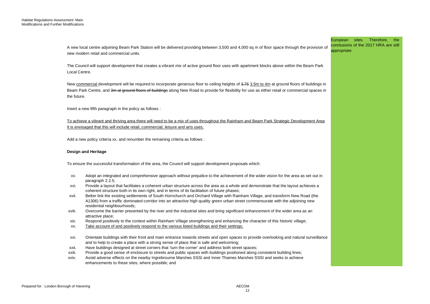|                 | A new local centre adjoining Beam Park Station will be delivered providing between 3,500 and 4,000 sq m of floor space through the provision of<br>new modern retail and commercial units.                                                                                                                                                                                                       | European sites. Therefore,<br>the<br>conclusions of the 2017 HRA are still<br>appropriate. |
|-----------------|--------------------------------------------------------------------------------------------------------------------------------------------------------------------------------------------------------------------------------------------------------------------------------------------------------------------------------------------------------------------------------------------------|--------------------------------------------------------------------------------------------|
| Local Centre.   | The Council will support development that creates a vibrant mix of active ground floor uses with apartment blocks above within the Beam Park                                                                                                                                                                                                                                                     |                                                                                            |
| the future.     | New commercial development will be required to incorporate generous floor to ceiling heights of 3.75 3.5m to 4m at ground floors of buildings in<br>Beam Park Centre, and 3m at ground floors of buildings along New Road to provide for flexibility for use as either retail or commercial spaces in                                                                                            |                                                                                            |
|                 | lnsert a new fifth paragraph in the policy as follows:                                                                                                                                                                                                                                                                                                                                           |                                                                                            |
|                 | To achieve a vibrant and thriving area there will need to be a mix of uses throughout the Rainham and Beam Park Strategic Development Area<br>It is envisaged that this will include retail, commercial, leisure and arts uses.                                                                                                                                                                  |                                                                                            |
|                 | Add a new policy criteria xx. and renumber the remaining criteria as follows :                                                                                                                                                                                                                                                                                                                   |                                                                                            |
|                 | <b>Design and Heritage</b>                                                                                                                                                                                                                                                                                                                                                                       |                                                                                            |
|                 | To ensure the successful transformation of the area, the Council will support development proposals which:                                                                                                                                                                                                                                                                                       |                                                                                            |
| XV.             | Adopt an integrated and comprehensive approach without prejudice to the achievement of the wider vision for the area as set out in<br>paragraph 2.2.5;                                                                                                                                                                                                                                           |                                                                                            |
| xvi.            | Provide a layout that facilitates a coherent urban structure across the area as a whole and demonstrate that the layout achieves a                                                                                                                                                                                                                                                               |                                                                                            |
| xvii.           | coherent structure both in its own right, and in terms of its facilitation of future phases;<br>Better link the existing settlements of South Hornchurch and Orchard Village with Rainham Village, and transform New Road (the<br>A1306) from a traffic dominated corridor into an attractive high quality green urban street commensurate with the adjoining new<br>residential neighbourhoods; |                                                                                            |
| xviii.          | Overcome the barrier presented by the river and the industrial sites and bring significant enhancement of the wider area as an<br>attractive place;                                                                                                                                                                                                                                              |                                                                                            |
| xix.            | Respond positively to the context within Rainham Village strengthening and enhancing the character of this historic village;                                                                                                                                                                                                                                                                     |                                                                                            |
| XX.             | Take account of and positively respond to the various listed buildings and their settings;                                                                                                                                                                                                                                                                                                       |                                                                                            |
| xxi.            | Orientate buildings with their front and main entrance towards streets and open spaces to provide overlooking and natural surveillance<br>and to help to create a place with a strong sense of place that is safe and welcoming;                                                                                                                                                                 |                                                                                            |
| xxii.           | Have buildings designed at street corners that 'turn the corner' and address both street spaces;                                                                                                                                                                                                                                                                                                 |                                                                                            |
| xxiii.<br>xxiv. | Provide a good sense of enclosure to streets and public spaces with buildings positioned along consistent building lines;<br>Avoid adverse effects on the nearby Ingrebrourne Marshes SSSI and Inner Thames Marshes SSSI and seeks to achieve<br>enhancements to these sites, where possible; and                                                                                                |                                                                                            |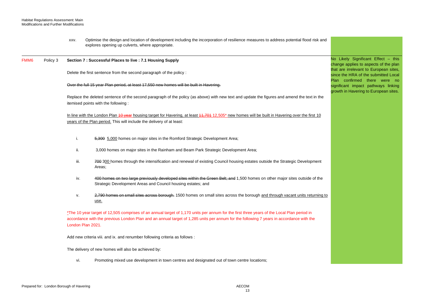|      |          | XXV. | Optimise the design and location of development including the incorporation of resilience measures to address potential flood risk and<br>explores opening up culverts, where appropriate.                                                                                                                 |                                                                                                              |
|------|----------|------|------------------------------------------------------------------------------------------------------------------------------------------------------------------------------------------------------------------------------------------------------------------------------------------------------------|--------------------------------------------------------------------------------------------------------------|
| FMM6 | Policy 3 |      | Section 7 : Successful Places to live : 7.1 Housing Supply                                                                                                                                                                                                                                                 | No Likely Significant Effect - this<br>change applies to aspects of the plan                                 |
|      |          |      | Delete the first sentence from the second paragraph of the policy :                                                                                                                                                                                                                                        | that are irrelevant to European sites,<br>since the HRA of the submitted Local                               |
|      |          |      | Over the full 15 year Plan period, at least 17,550 new homes will be built in Havering.                                                                                                                                                                                                                    | Plan confirmed there were no<br>significant impact pathways linking<br>growth in Havering to European sites. |
|      |          |      | Replace the deleted sentence of the second paragraph of the policy (as above) with new text and update the figures and amend the text in the<br>itemised points with the following:                                                                                                                        |                                                                                                              |
|      |          |      | In line with the London Plan 40 year housing target for Havering, at least 44,704 12,505* new homes will be built in Havering over the first 10<br>years of the Plan period. This will include the delivery of at least:                                                                                   |                                                                                                              |
|      |          | i.   | 5,300 5,000 homes on major sites in the Romford Strategic Development Area;                                                                                                                                                                                                                                |                                                                                                              |
|      |          | ii.  | 3,000 homes on major sites in the Rainham and Beam Park Strategic Development Area;                                                                                                                                                                                                                        |                                                                                                              |
|      |          | iii. | 700 300 homes through the intensification and renewal of existing Council housing estates outside the Strategic Development<br>Areas;                                                                                                                                                                      |                                                                                                              |
|      |          | iv.  | 400 homes on two large previously developed sites within the Green Belt; and 1,500 homes on other major sites outside of the<br>Strategic Development Areas and Council housing estates; and                                                                                                               |                                                                                                              |
|      |          | V.   | 2,790 homes on small sites across borough. 1500 homes on small sites across the borough and through vacant units returning to<br>use.                                                                                                                                                                      |                                                                                                              |
|      |          |      | *The 10 year target of 12,505 comprises of an annual target of 1,170 units per annum for the first three years of the Local Plan period in<br>accordance with the previous London Plan and an annual target of 1,285 units per annum for the following 7 years in accordance with the<br>London Plan 2021. |                                                                                                              |
|      |          |      | Add new criteria viii. and ix. and renumber following criteria as follows:                                                                                                                                                                                                                                 |                                                                                                              |
|      |          |      | The delivery of new homes will also be achieved by:                                                                                                                                                                                                                                                        |                                                                                                              |
|      |          | vi.  | Promoting mixed use development in town centres and designated out of town centre locations;                                                                                                                                                                                                               |                                                                                                              |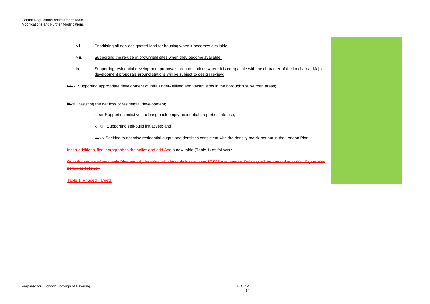- vii. Prioritising all non-designated land for housing when it becomes available;
- viii. Supporting the re-use of brownfield sites when they become available;
- ix. Supporting residential development proposals around stations where it is compatible with the character of the local area. Major development proposals around stations will be subject to design review;

<del>Viii</del> <u>x.</u> Supporting appropriate development of infill, under-utilised and vacant sites in the borough's sub-urban areas;

ix. xi. Resisting the net loss of residential development;

x.-xii. Supporting initiatives to bring back empty residential properties into use;

xi. xiii. Supporting self-build initiatives; and

<del><u>xii xiv</u> S</del>eeking to optimise residential output and densities consistent with the density matrix set out in the London Plan

Insert additional final paragraph to the policy and add Add a new table (Table 1) as follows :

Over the course of the whole Plan period, Havering will aim to deliver at least 17,551 new homes. Delivery will be phased over the 15 year plan period as follows :

Table 1: Phased Targets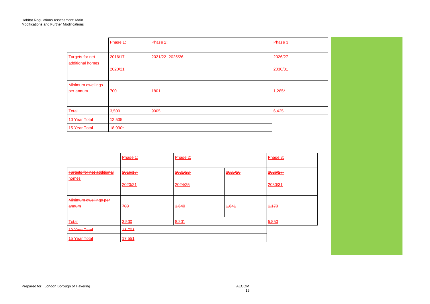|                                     | Phase 1: | Phase 2:        | Phase 3: |
|-------------------------------------|----------|-----------------|----------|
| Targets for net<br>additional homes | 2016/17- | 2021/22-2025/26 | 2026/27- |
|                                     | 2020/21  |                 | 2030/31  |
| Minimum dwellings<br>per annum      | 700      | 1801            | $1,285*$ |
| <b>Total</b>                        | 3,500    | 9005            | 6,425    |
| 10 Year Total                       | 12,505   |                 |          |
| 15 Year Total                       | 18,930*  |                 |          |

|                                              | Phase 1:           | Phase 2:            |         | Phase 3:            |
|----------------------------------------------|--------------------|---------------------|---------|---------------------|
| <b>Targets for net additional</b><br>homes   | 2016/17<br>2020/21 | 2021/22-<br>2024/25 | 2025/26 | 2026/27-<br>2030/31 |
| Minimum dwellings per<br>annum               | 700                | 4,640               | 4,644   | 4,470               |
| <b>Total</b>                                 | 3,500              | 8,201               |         | 5,850               |
| <b>10 Year Total</b><br><b>15 Year Total</b> | 44,704<br>17,551   |                     |         |                     |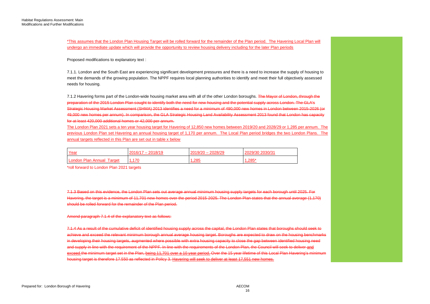\*This assumes that the London Plan Housing Target will be rolled forward for the remainder of the Plan period. The Havering Local Plan will undergo an immediate update which will provide the opportunity to review housing delivery including for the later Plan periods

Proposed modifications to explanatory text :

 meet the demands of the growing population. The NPPF requires local planning authorities to identify and meet their full objectively assessed 7.1.1. London and the South East are experiencing significant development pressures and there is a need to increase the supply of housing to needs for housing.

7.1.2 Havering forms part of the London-wide housing market area with all of the other London boroughs. <del>The Mayor of London, through the</del> Strategic Housing Market Assessment (SHMA) 2013 identifies a need for a minimum of 490,000 new homes in London between 2015-2026 (or preparation of the 2015 London Plan sought to identify both the need for new housing and the potential supply across London. The GLA's 49,000 new homes per annum). In comparison, the GLA Strategic Housing Land Availability Assessment 2013 found that London has capacity for at least 420,000 additional homes or 42,000 per annum.

 The London Plan 2021 sets a ten year housing target for Havering of 12,850 new homes between 2019/20 and 2028/29 or 1,285 per annum. The previous London Plan set Havering an annual housing target of 1,170 per annum. The Local Plan period bridges the two London Plans. The annual targets reflected in this Plan are set out in table x below

| Year                      | $2016/17 - 2018/19$ | $2019/20 - 2028/29$ | 2029/30 2030/31 |
|---------------------------|---------------------|---------------------|-----------------|
| London Plan Annual Target |                     | 1,285               | $.285*$         |

\*roll forward to London Plan 2021 targets

7.1.3 Based on this evidence, the London Plan sets out average annual minimum housing supply targets for each borough until 2025. For Havering, the target is a minimum of 11,701 new homes over the period 2015-2025. The London Plan states that the annual average (1,170) should be rolled forward for the remainder of the Plan period.

## Amend paragraph 7.1.4 of the explanatory text as follows:

 7.1.4 As a result of the cumulative deficit of identified housing supply across the capital, the London Plan states that boroughs should seek to achieve and exceed the relevant minimum borough annual average housing target. Boroughs are expected to draw on the housing benchmarks in developing their housing targets, augmented where possible with extra housing capacity to close the gap between identified housing need and supply in line with the requirement of the NPPF. In line with the requirements of the London Plan, the Council will seek to deliver and exceed the minimum target set in the Plan, being 11,701 over a 10 year period. Over the 15 year lifetime of this Local Plan Havering's minimum housing target is therefore 17.550 as reflected in Policy 3. Havering will seek to deliver at least 17,551 new homes.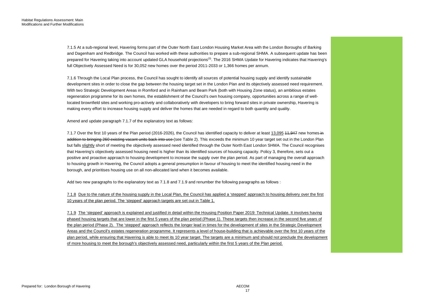7.1.5 At a sub-regional level, Havering forms part of the Outer North East London Housing Market Area with the London Boroughs of Barking and Dagenham and Redbridge. The Council has worked with these authorities to prepare a sub-regional SHMA. A subsequent update has been prepared for Havering taking into account updated GLA household projections<sup>(3)</sup>. The 2016 SHMA Update for Havering indicates that Havering's full Objectively Assessed Need is for 30,052 new homes over the period 2011-2033 or 1,366 homes per annum.

 7.1.6 Through the Local Plan process, the Council has sought to identify all sources of potential housing supply and identify sustainable development sites in order to close the gap between the housing target set in the London Plan and its objectively assessed need requirement. regeneration programme for its own homes, the establishment of the Council's own housing company, opportunities across a range of well-With two Strategic Development Areas in Romford and in Rainham and Beam Park (both with Housing Zone status), an ambitious estates located brownfield sites and working pro-actively and collaboratively with developers to bring forward sites in private ownership, Havering is making every effort to increase housing supply and deliver the homes that are needed in regard to both quantity and quality.

Amend and update paragraph 7.1.7 of the explanatory text as follows:

7.1.7 Over the first 10 years of the Plan period (2016-2026), the Council has identified capacity to deliver at least <u>13,095</u> 44,947 new homes in that Havering's objectively assessed housing need is higher than its identified sources of housing capacity. Policy 3, therefore, sets out a addition to bringing 260 existing vacant units back into use (see Table 2). This exceeds the minimum 10 year target set out in the London Plan but falls slightly short of meeting the objectively assessed need identified through the Outer North East London SHMA. The Council recognises positive and proactive approach to housing development to increase the supply over the plan period. As part of managing the overall approach to housing growth in Havering, the Council adopts a general presumption in favour of housing to meet the identified housing need in the borough, and prioritises housing use on all non-allocated land when it becomes available.

Add two new paragraphs to the explanatory text as 7.1.8 and 7.1.9 and renumber the following paragraphs as follows :

 7.1.8 Due to the nature of the housing supply in the Local Plan, the Council has applied a 'stepped' approach to housing delivery over the first 10 years of the plan period. The 'stepped' approach targets are set out in Table 1.

 7.1.9 The 'stepped' approach is explained and justified in detail within the Housing Position Paper 2019: Technical Update. It involves having of more housing to meet the borough's objectively assessed need, particularly within the first 5 years of the Plan period. phased housing targets that are lower in the first 5 years of the plan period (Phase 1). These targets then increase in the second five years of the plan period (Phase 2). The 'stepped' approach reflects the longer lead in times for the development of sites in the Strategic Development Areas and the Council's estates regeneration programme. It represents a level of house-building that is achievable over the first 10 years of the plan period, while ensuring that Havering is able to meet its 10 year target. The targets are a minimum and should not preclude the development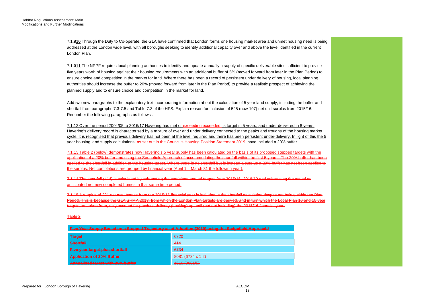7.1.810 Through the Duty to Co-operate, the GLA have confirmed that London forms one housing market area and unmet housing need is being addressed at the London wide level, with all boroughs seeking to identify additional capacity over and above the level identified in the current London Plan.

7.1.911 The NPPF requires local planning authorities to identify and update annually a supply of specific deliverable sites sufficient to provide five years worth of housing against their housing requirements with an additional buffer of 5% (moved forward from later in the Plan Period) to ensure choice and competition in the market for land. Where there has been a record of persistent under delivery of housing, local planning authorities should increase the buffer to 20% (moved forward from later in the Plan Period) to provide a realistic prospect of achieving the planned supply and to ensure choice and competition in the market for land.

Add two new paragraphs to the explanatory text incorporating information about the calculation of 5 year land supply, including the buffer and shortfall from paragraphs 7.3-7.5 and Table 7.3 of the HPS. Explain reason for inclusion of 525 (now 197) net unit surplus from 2015/16. Renumber the following paragraphs as follows :

7.1.12 Over the period 2004/05 to 2016/17 Havering has met or exceeding exceeded its target in 5 years, and under delivered in 8 years. Havering's delivery record is characterised by a mixture of over and under delivery connected to the peaks and troughs of the housing market cycle. It is recognised that previous delivery has not been at the level required and there has been persistent under-delivery. In light of this the 5 year housing land supply calculations, as set out in the Council's Housing Position Statement 2019, have included a 20% buffer.

7.1.13 Table 2 (below) demonstrates how Havering's 5 year supply has been calculated on the basis of its proposed stepped targets with the application of a 20% buffer and using the Sedgefield Approach of accommodating the shortfall within the first 5 years. The 20% buffer has been applied to the shortfall in addition to the housing target. Where there is no shortfall but is instead a surplus a 20% buffer has not been applied to the surplus. Net completions are grouped by financial year (April 1 – March 31 the following year).

7.1.14 The shortfall (414) is calculated by subtracting the combined annual targets from 2015/16 -2018/19 and subtracting the actual or anticipated net new completed homes in that same time period.

7.1.15 A surplus of 221 net new homes from the 2015/16 financial year is included in the shortfall calculation despite not being within the Plan Period. This is because the GLA SHMA 2013, from which the London Plan targets are derived, and in turn which the Local Plan 10 and 15 year targets are taken from, only account for previous delivery (backlog) up until (but not including) the 2015/16 financial year.

## Table 2

| Five Year Supply Based on a Stepped Trajectory as at Adoption (2019) using the Sedgefield Approach* |                                                                                                                                                                                                                                                              |  |  |  |
|-----------------------------------------------------------------------------------------------------|--------------------------------------------------------------------------------------------------------------------------------------------------------------------------------------------------------------------------------------------------------------|--|--|--|
| <b>Target</b>                                                                                       | 6320                                                                                                                                                                                                                                                         |  |  |  |
| <b>Shortfall</b>                                                                                    | 414                                                                                                                                                                                                                                                          |  |  |  |
| <b>Five year target plus shortfall</b>                                                              | 6734                                                                                                                                                                                                                                                         |  |  |  |
| <b>Application of 20% Buffer</b>                                                                    | $R$ $($ $R$ $($ $R$ $T$ $($ $R$ $T$ $($ $r$ $($ $r$ $($ $r$ $($ $r$ $($ $r$ $($ $r$ $($ $r$ $($ $r$ $($ $r$ $($ $r$ $($ $r$ $($ $r$ $($ $r$ $($ $r$ $($ $r$ $($ $r$ $($ $r$ $($ $r$ $($ $r$ $($ $r$ $($ $r$ $($ $r$ $($ $r$<br><del>,,,,,,,,,,,,,,,,,,</del> |  |  |  |
| <b>Annualised target with 20% buffer</b>                                                            | ACAC(0.004/E)<br>EN EN EN EN L'AN ESTAD                                                                                                                                                                                                                      |  |  |  |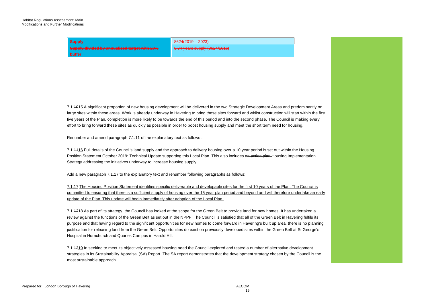**Supply** 8624(2019 – 2023)

**Supply divided by annualised target with 20% buffer** 

5.34 years supply (8624/1616)

 effort to bring forward these sites as quickly as possible in order to boost housing supply and meet the short term need for housing. 7.1.1015 A significant proportion of new housing development will be delivered in the two Strategic Development Areas and predominantly on large sites within these areas. Work is already underway in Havering to bring these sites forward and whilst construction will start within the first five years of the Plan, completion is more likely to be towards the end of this period and into the second phase. The Council is making every

Renumber and amend paragraph 7.1.11 of the explanatory text as follows :

Position Statement <u>October 2019: Technical Update supporting this Local Plan. T</u>his also includes a<del>n action plan H</del>ousing Implementation 7.1.1116 Full details of the Council's land supply and the approach to delivery housing over a 10 year period is set out within the Housing Strategy addressing the initiatives underway to increase housing supply.

Add a new paragraph 7.1.17 to the explanatory text and renumber following paragraphs as follows:

 committed to ensuring that there is a sufficient supply of housing over the 15 year plan period and beyond and will therefore undertake an early update of the Plan. This update will begin immediately after adoption of the Local Plan. 7.1.17 The Housing Position Statement identifies specific deliverable and developable sites for the first 10 years of the Plan. The Council is

 review against the functions of the Green Belt as set out in the NPPF. The Council is satisfied that all of the Green Belt in Havering fulfils its purpose and that having regard to the significant opportunities for new homes to come forward in Havering's built up area, there is no planning 7.1.1218 As part of its strategy, the Council has looked at the scope for the Green Belt to provide land for new homes. It has undertaken a justification for releasing land from the Green Belt. Opportunities do exist on previously developed sites within the Green Belt at St George's Hospital in Hornchurch and Quarles Campus in Harold Hill.

7.1.<del>1319</del> In seeking to meet its objectively assessed housing need the Council explored and tested a number of alternative development strategies in its Sustainability Appraisal (SA) Report. The SA report demonstrates that the development strategy chosen by the Council is the most sustainable approach.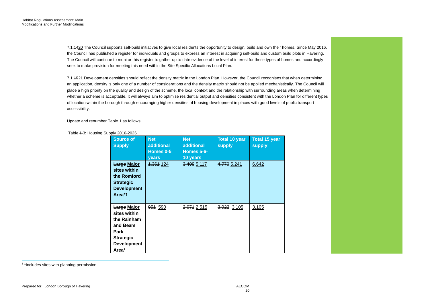seek to make provision for meeting this need within the Site Specific Allocations Local Plan. 7.1.1420 The Council supports self-build initiatives to give local residents the opportunity to design, build and own their homes. Since May 2016, the Council has published a register for individuals and groups to express an interest in acquiring self-build and custom build plots in Havering. The Council will continue to monitor this register to gather up to date evidence of the level of interest for these types of homes and accordingly

7.1.<del>15</del>21 Development densities should reflect the density matrix in the London Plan. However, the Council recognises that when determining an application, density is only one of a number of considerations and the density matrix should not be applied mechanistically. The Council will place a high priority on the quality and design of the scheme, the local context and the relationship with surrounding areas when determining whether a scheme is acceptable. It will always aim to optimise residential output and densities consistent with the London Plan for different types of location within the borough through encouraging higher densities of housing development in places with good levels of public transport accessibility.

Update and renumber Table 1 as follows:

Table 4-3: Housing Supply 2016-2026

| <b>Source of</b><br><b>Supply</b>                                                                                        | <b>Net</b><br><b>additional</b><br>Homes 0-5<br><b>vears</b> | <b>Net</b><br><b>additional</b><br><b>Homes 5-6-</b><br>10 years | <b>Total 10 year</b><br><b>supply</b> | <b>Total 15 year</b><br>supply |
|--------------------------------------------------------------------------------------------------------------------------|--------------------------------------------------------------|------------------------------------------------------------------|---------------------------------------|--------------------------------|
| <b>Large Major</b><br>sites within<br>the Romford<br><b>Strategic</b><br><b>Development</b><br>Area*1                    | 1,361 124                                                    | 3,409 5,117                                                      | 4,770 5,241                           | 6,642                          |
| <u>Large Major</u><br>sites within<br>the Rainham<br>and Beam<br>Park<br><b>Strategic</b><br><b>Development</b><br>Area* | <del>951</del> 590                                           | 2,071 2,515                                                      | 3,022 3,105                           | 3,105                          |

<sup>1</sup> \*Includes sites with planning permission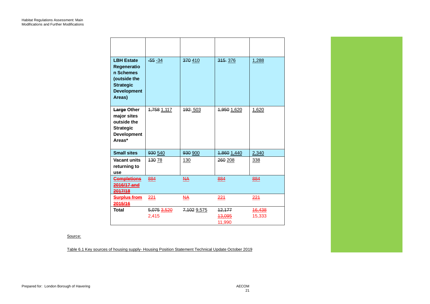| <b>LBH Estate</b><br>Regeneratio<br>n Schemes<br>(outside the<br><b>Strategic</b><br><b>Development</b><br>Areas) | $-55 - 34$                             | 370 410     | 315 376                               | 1,288            |
|-------------------------------------------------------------------------------------------------------------------|----------------------------------------|-------------|---------------------------------------|------------------|
| <b>Large Other</b><br>major sites<br>outside the<br><b>Strategic</b><br><b>Development</b><br>Areas*              | <del>1,758</del> 1,117                 | 192 503     | 4,950 1,620                           | 1,620            |
| <b>Small sites</b>                                                                                                | 930 540                                | 930 900     | 1,860 1,440                           | 2,340            |
| <b>Vacant units</b><br>returning to<br>use                                                                        | <del>130</del> 78                      | 130         | 260 208                               | 338              |
| <b>Completions</b><br>2016/17 and<br>2017/18                                                                      | 884                                    | NА          | 884                                   | 884              |
| <b>Surplus from</b><br>2015/16                                                                                    | 221                                    | <u>NA</u>   | 221                                   | 221              |
| <b>Total</b>                                                                                                      | <del>5,075 <u>3,520</u></del><br>2,415 | 7,102 9,575 | <del>12,177</del><br>13,095<br>11,990 | 16,438<br>15,333 |

# Source:

Table 6.1 Key sources of housing supply- Housing Position Statement Technical Update October 2019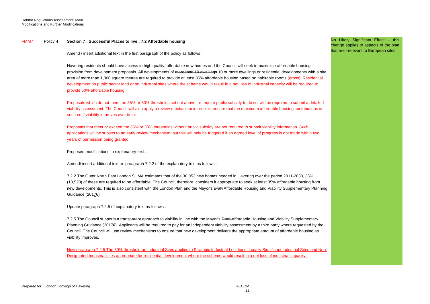#### FMM7 Policy 4 **Section 7 : Successful Places to live : 7.2 Affordable housing**

Amend / insert additional text in the first paragraph of the policy as follows :

area of more than 1,000 square metres are required to provide at least 35% affordable housing based on habitable rooms (gross). Residential development on public sector land or on industrial sites where the scheme would result in a net loss of industrial capacity will be required to Havering residents should have access to high quality, affordable new homes and the Council will seek to maximise affordable housing provision from development proposals. All developments of more than 10 dwellings 10 or more dwellings or residential developments with a site provide 50% affordable housing.

Proposals which do not meet the 35% or 50% thresholds set out above, or require public subsidy to do so, will be required to submit a detailed viability assessment. The Council will also apply a review mechanism in order to ensure that the maximum affordable housing contributions is secured if viability improves over time.

Proposals that meet or exceed the 35% or 50% thresholds without public subsidy are not required to submit viability information. Such applications will be subject to an early review mechanism, but this will only be triggered if an agreed level of progress is not made within two years of permission being granted.

Proposed modifications to explanatory text :

Amend/ insert additional text to paragraph 7.2.2 of the explanatory text as follows :

7.2.2 The Outer North East London SHMA estimates that of the 30,052 new homes needed in Havering over the period 2011-2033, 35% (10,520) of these are required to be affordable. The Council, therefore, considers it appropriate to seek at least 35% affordable housing from new developments. This is also consistent with the London Plan and the Mayor's <del>Draft</del> Affordable Housing and Viability Supplementary Planning Guidance (20176)

Update paragraph 7.2.5 of explanatory text as follows :

 Council. The Council will use review mechanisms to ensure that new development delivers the appropriate amount of affordable housing as 7.2.5 The Council supports a transparent approach to viability in line with the Mayor's Draft-Affordable Housing and Viability Supplementary Planning Guidance (20176). Applicants will be required to pay for an independent viability assessment by a third party where requested by the viability improves.

New paragraph 7.2.5 The 50% threshold on Industrial Sites applies to Strategic Industrial Locations, Locally Significant Industrial Sites and Non-Designated Industrial sites appropriate for residential development where the scheme would result in a net loss of industrial capacity.

 No Likely Significant Effect – this change applies to aspects of the plan that are irrelevant to European sites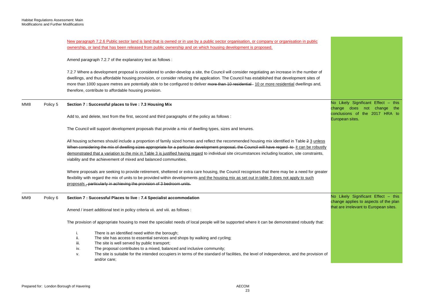|     |          | New paragraph 7.2.6 Public sector land is land that is owned or in use by a public sector organisation, or company or organisation in public                                                                                                                                                                                                                                                                                                                                                                                  |                                                                              |
|-----|----------|-------------------------------------------------------------------------------------------------------------------------------------------------------------------------------------------------------------------------------------------------------------------------------------------------------------------------------------------------------------------------------------------------------------------------------------------------------------------------------------------------------------------------------|------------------------------------------------------------------------------|
|     |          | ownership, or land that has been released from public ownership and on which housing development is proposed.                                                                                                                                                                                                                                                                                                                                                                                                                 |                                                                              |
|     |          | Amend paragraph 7.2.7 of the explanatory text as follows :                                                                                                                                                                                                                                                                                                                                                                                                                                                                    |                                                                              |
|     |          | 7.2.7 Where a development proposal is considered to under-develop a site, the Council will consider negotiating an increase in the number of<br>dwellings, and thus affordable housing provision, or consider refusing the application. The Council has established that development sites of<br>more than 1000 square metres are potentially able to be configured to deliver more than 10 residential-10 or more residential dwellings and,<br>therefore, contribute to affordable housing provision.                       |                                                                              |
| MM8 | Policy 5 | Section 7 : Successful places to live : 7.3 Housing Mix                                                                                                                                                                                                                                                                                                                                                                                                                                                                       | No Likely Significant Effect - this<br>change does not change<br>the         |
|     |          | Add to, and delete, text from the first, second and third paragraphs of the policy as follows :                                                                                                                                                                                                                                                                                                                                                                                                                               | conclusions of the 2017 HRA to<br>European sites.                            |
|     |          | The Council will support development proposals that provide a mix of dwelling types, sizes and tenures.                                                                                                                                                                                                                                                                                                                                                                                                                       |                                                                              |
|     |          | All housing schemes should include a proportion of family sized homes and reflect the recommended housing mix identified in Table 2 3 unless<br>When considering the mix of dwelling sizes appropriate for a particular development proposal, the Council will have regard to it can be robustly<br>demonstrated that a variation to the mix in Table 3 is justified having regard to individual site circumstances including location, site constraints,<br>viability and the achievement of mixed and balanced communities. |                                                                              |
|     |          | Where proposals are seeking to provide retirement, sheltered or extra care housing, the Council recognises that there may be a need for greater<br>flexibility with regard the mix of units to be provided within developments and the housing mix as set out in table 3 does not apply to such<br>proposals - particularly in achieving the provision of 3 bedroom units.                                                                                                                                                    |                                                                              |
| MM9 | Policy 6 | Section 7 : Successful Places to live : 7.4 Specialist accommodation                                                                                                                                                                                                                                                                                                                                                                                                                                                          | No Likely Significant Effect - this<br>change applies to aspects of the plan |
|     |          | Amend / insert additional text in policy criteria vii. and viii. as follows :                                                                                                                                                                                                                                                                                                                                                                                                                                                 | that are irrelevant to European sites.                                       |
|     |          | The provision of appropriate housing to meet the specialist needs of local people will be supported where it can be demonstrated robustly that:                                                                                                                                                                                                                                                                                                                                                                               |                                                                              |
|     |          | There is an identified need within the borough;<br>i.<br>The site has access to essential services and shops by walking and cycling;<br>ii.<br>iii.<br>The site is well served by public transport;<br>The proposal contributes to a mixed, balanced and inclusive community;<br>iv.<br>The site is suitable for the intended occupiers in terms of the standard of facilities, the level of independence, and the provision of<br>٧.<br>and/or care;                                                                         |                                                                              |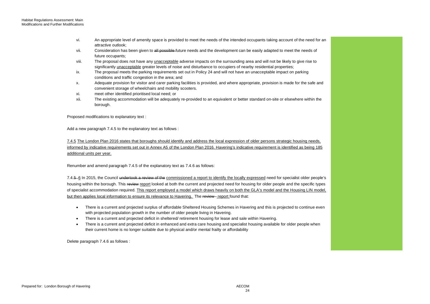- vi. An appropriate level of amenity space is provided to meet the needs of the intended occupants taking account of the need for an attractive outlook;
- vii. Consideration has been given to <del>all possible f</del>uture needs and the development can be easily adapted to meet the needs of future occupants;
- viii. The proposal does not have any <u>unacceptable</u> adverse impacts on the surrounding area and will not be likely to give rise to significantly <u>unacceptable</u> greater levels of noise and disturbance to occupiers of nearby residential properties;
- ix. The proposal meets the parking requirements set out in Policy 24 and will not have an unacceptable impact on parking conditions and traffic congestion in the area; and
- x. Adequate provision for visitor and carer parking facilities is provided, and where appropriate, provision is made for the safe and convenient storage of wheelchairs and mobility scooters.
- xi. meet other identified prioritised local need; or
- xii. The existing accommodation will be adequately re-provided to an equivalent or better standard on-site or elsewhere within the borough.

Proposed modifications to explanatory text :

Add a new paragraph 7.4.5 to the explanatory text as follows :

 informed by indicative requirements set out in Annex A5 of the London Plan 2016. Havering's indicative requirement is identified as being 185 7.4.5 The London Plan 2016 states that boroughs should identify and address the local expression of older persons strategic housing needs, additional units per year.

Renumber and amend paragraph 7.4.5 of the explanatory text as 7.4.6 as follows:

7.4.5–<u>6</u> In 2015, the Council <del>undertook a review of the</del> <u>commissioned a report to identify the locally expressed</u> need for specialist older people's but then applies local information to ensure its relevance to Havering. The review - report found that: housing within the borough. This review report looked at both the current and projected need for housing for older people and the specific types of specialist accommodation required. This report employed a model which draws heavily on both the GLA's model and the Housing LIN model,

- There is a current and projected surplus of affordable Sheltered Housing Schemes in Havering and this is projected to continue even with projected population growth in the number of older people living in Havering.
- There is a current and projected deficit in sheltered/ retirement housing for lease and sale within Havering.
- their current home is no longer suitable due to physical and/or mental frailty or affordability • There is a current and projected deficit in enhanced and extra care housing and specialist housing available for older people when

Delete paragraph 7.4.6 as follows :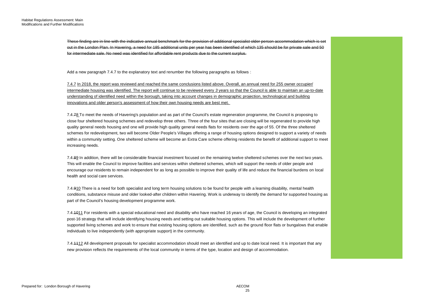These finding are in line with the indicative annual benchmark for the provision of additional specialist older person accommodation which is set out in the London Plan. In Havering, a need for 185 additional units per year has been identified of which 135 should be for private sale and 50 for intermediate sale. No need was identified for affordable rent products due to the current surplus.

Add a new paragraph 7.4.7 to the explanatory text and renumber the following paragraphs as follows :

 7.4.7 In 2018, the report was reviewed and reached the same conclusions listed above. Overall, an annual need for 255 owner occupier/ innovations and older person's assessment of how their own housing needs are best met. intermediate housing was identified. The report will continue to be reviewed every *3* years so that the Council is able to maintain an up-to-date understanding of identified need within the borough, taking into account changes in demographic projection, technological and building

7.4.78 To meet the needs of Havering's population and as part of the Council's estate regeneration programme, the Council is proposing to schemes for redevelopment, two will become Older People's Villages offering a range of housing options designed to support a variety of needs close four sheltered housing schemes and redevelop three others. Three of the four sites that are closing will be regenerated to provide high quality general needs housing and one will provide high quality general needs flats for residents over the age of 55. Of the three sheltered within a community setting. One sheltered scheme will become an Extra Care scheme offering residents the benefit of additional support to meet increasing needs.

 encourage our residents to remain independent for as long as possible to improve their quality of life and reduce the financial burdens on local 7.4.89 In addition, there will be considerable financial investment focused on the remaining twelve sheltered schemes over the next two years. This will enable the Council to improve facilities and services within sheltered schemes, which will support the needs of older people and health and social care services.

7.4.910 There is a need for both specialist and long term housing solutions to be found for people with a learning disability, mental health conditions, substance misuse and older looked-after children within Havering. Work is underway to identify the demand for supported housing as part of the Council's housing development programme work.

7.4.<del>1011</del> For residents with a special educational need and disability who have reached 16 years of age, the Council is developing an integrated supported living schemes and work to ensure that existing housing options are identified, such as the ground floor flats or bungalows that enable post-16 strategy that will include identifying housing needs and setting out suitable housing options. This will include the development of further individuals to live independently (with appropriate support) in the community.

 new provision reflects the requirements of the local community in terms of the type, location and design of accommodation. 7.4.1112 All development proposals for specialist accommodation should meet an identified and up to date local need. It is important that any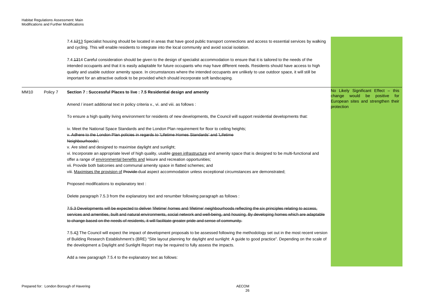|      |          | 7.4.4213 Specialist housing should be located in areas that have good public transport connections and access to essential services by walking<br>and cycling. This will enable residents to integrate into the local community and avoid social isolation.                                                                                                                                                                                                                                                                              |                                                                                                               |
|------|----------|------------------------------------------------------------------------------------------------------------------------------------------------------------------------------------------------------------------------------------------------------------------------------------------------------------------------------------------------------------------------------------------------------------------------------------------------------------------------------------------------------------------------------------------|---------------------------------------------------------------------------------------------------------------|
|      |          | 7.4.4314 Careful consideration should be given to the design of specialist accommodation to ensure that it is tailored to the needs of the<br>intended occupants and that it is easily adaptable for future occupants who may have different needs. Residents should have access to high<br>quality and usable outdoor amenity space. In circumstances where the intended occupants are unlikely to use outdoor space, it will still be<br>important for an attractive outlook to be provided which should incorporate soft landscaping. |                                                                                                               |
| MM10 | Policy 7 | Section 7 : Successful Places to live : 7.5 Residential design and amenity                                                                                                                                                                                                                                                                                                                                                                                                                                                               | No Likely Significant Effect - this<br>change would be<br>positive for<br>European sites and strengthen their |
|      |          | Amend / insert additional text in policy criteria v., vi. and viii. as follows:                                                                                                                                                                                                                                                                                                                                                                                                                                                          | protection                                                                                                    |
|      |          | To ensure a high quality living environment for residents of new developments, the Council will support residential developments that:                                                                                                                                                                                                                                                                                                                                                                                                   |                                                                                                               |
|      |          | iv. Meet the National Space Standards and the London Plan requirement for floor to ceiling heights;<br>v. Adhere to the London Plan policies in regards to 'Lifetime Homes Standards' and 'Lifetime                                                                                                                                                                                                                                                                                                                                      |                                                                                                               |
|      |          | Neighbourhoods';<br>v. Are sited and designed to maximise daylight and sunlight;                                                                                                                                                                                                                                                                                                                                                                                                                                                         |                                                                                                               |
|      |          | vi. Incorporate an appropriate level of high quality, usable green infrastructure and amenity space that is designed to be multi-functional and<br>offer a range of environmental benefits and leisure and recreation opportunities;                                                                                                                                                                                                                                                                                                     |                                                                                                               |
|      |          | vii. Provide both balconies and communal amenity space in flatted schemes; and                                                                                                                                                                                                                                                                                                                                                                                                                                                           |                                                                                                               |
|      |          | viii. Maximises the provision of Provide dual aspect accommodation unless exceptional circumstances are demonstrated;                                                                                                                                                                                                                                                                                                                                                                                                                    |                                                                                                               |
|      |          | Proposed modifications to explanatory text :                                                                                                                                                                                                                                                                                                                                                                                                                                                                                             |                                                                                                               |
|      |          | Delete paragraph 7.5.3 from the explanatory text and renumber following paragraph as follows :                                                                                                                                                                                                                                                                                                                                                                                                                                           |                                                                                                               |
|      |          | 7.5.3 Developments will be expected to deliver 'lifetime' homes and 'lifetime' neighbourhoods reflecting the six principles relating to access,<br>services and amenities, built and natural environments, social network and well-being, and housing. By developing homes which are adaptable                                                                                                                                                                                                                                           |                                                                                                               |
|      |          | to change based on the needs of residents, it will facilitate greater pride and sense of community.                                                                                                                                                                                                                                                                                                                                                                                                                                      |                                                                                                               |
|      |          | 7.5.43 The Council will expect the impact of development proposals to be assessed following the methodology set out in the most recent version<br>of Building Research Establishment's (BRE) "Site layout planning for daylight and sunlight: A guide to good practice". Depending on the scale of<br>the development a Daylight and Sunlight Report may be required to fully assess the impacts.                                                                                                                                        |                                                                                                               |
|      |          | Add a new paragraph 7.5.4 to the explanatory text as follows:                                                                                                                                                                                                                                                                                                                                                                                                                                                                            |                                                                                                               |
|      |          |                                                                                                                                                                                                                                                                                                                                                                                                                                                                                                                                          |                                                                                                               |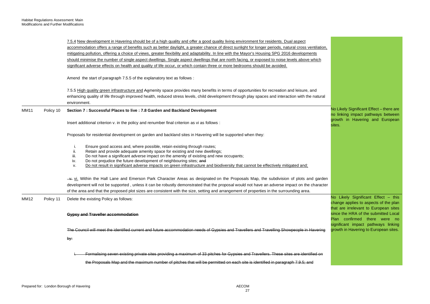|             |           | 7.5.4 New development in Havering should be of a high quality and offer a good quality living environment for residents. Dual aspect<br>accommodation offers a range of benefits such as better daylight, a greater chance of direct sunlight for longer periods, natural cross ventilation,<br>mitigating pollution, offering a choice of views, greater flexibility and adaptability. In line with the Mayor's Housing SPG 2016 developments<br>should minimise the number of single aspect dwellings. Single aspect dwellings that are north facing, or exposed to noise levels above which<br>significant adverse effects on health and quality of life occur, or which contain three or more bedrooms should be avoided. |                                                                                                                       |
|-------------|-----------|-------------------------------------------------------------------------------------------------------------------------------------------------------------------------------------------------------------------------------------------------------------------------------------------------------------------------------------------------------------------------------------------------------------------------------------------------------------------------------------------------------------------------------------------------------------------------------------------------------------------------------------------------------------------------------------------------------------------------------|-----------------------------------------------------------------------------------------------------------------------|
|             |           | Amend the start of paragraph 7.5.5 of the explanatory text as follows :                                                                                                                                                                                                                                                                                                                                                                                                                                                                                                                                                                                                                                                       |                                                                                                                       |
|             |           | 7.5.5 High quality green infrastructure and Aamenity space provides many benefits in terms of opportunities for recreation and leisure, and<br>enhancing quality of life through improved health, reduced stress levels, child development through play spaces and interaction with the natural<br>environment.                                                                                                                                                                                                                                                                                                                                                                                                               |                                                                                                                       |
| <b>MM11</b> | Policy 10 | Section 7 : Successful Places to live : 7.8 Garden and Backland Development                                                                                                                                                                                                                                                                                                                                                                                                                                                                                                                                                                                                                                                   | No Likely Significant Effect - there are<br>no linking impact pathways between                                        |
|             |           | Insert additional criterion v. in the policy and renumber final criterion as vi as follows :                                                                                                                                                                                                                                                                                                                                                                                                                                                                                                                                                                                                                                  | growth in Havering and European<br>sites.                                                                             |
|             |           | Proposals for residential development on garden and backland sites in Havering will be supported when they:                                                                                                                                                                                                                                                                                                                                                                                                                                                                                                                                                                                                                   |                                                                                                                       |
|             |           | Ensure good access and, where possible, retain existing through routes;<br>i.<br>Retain and provide adequate amenity space for existing and new dwellings;<br>ii.<br>Do not have a significant adverse impact on the amenity of existing and new occupants;<br>iii.<br>Do not prejudice the future development of neighbouring sites; and<br>iv.<br>Do not result in significant adverse impacts on green infrastructure and biodiversity that cannot be effectively mitigated and;<br>v.                                                                                                                                                                                                                                     |                                                                                                                       |
|             |           | $\rightarrow$ vi. Within the Hall Lane and Emerson Park Character Areas as designated on the Proposals Map, the subdivision of plots and garden                                                                                                                                                                                                                                                                                                                                                                                                                                                                                                                                                                               |                                                                                                                       |
|             |           | development will not be supported, unless it can be robustly demonstrated that the proposal would not have an adverse impact on the character                                                                                                                                                                                                                                                                                                                                                                                                                                                                                                                                                                                 |                                                                                                                       |
|             |           | of the area and that the proposed plot sizes are consistent with the size, setting and arrangement of properties in the surrounding area.                                                                                                                                                                                                                                                                                                                                                                                                                                                                                                                                                                                     |                                                                                                                       |
| <b>MM12</b> | Policy 11 | Delete the existing Policy as follows:                                                                                                                                                                                                                                                                                                                                                                                                                                                                                                                                                                                                                                                                                        | No Likely Significant Effect - this<br>change applies to aspects of the plan<br>that are irrelevant to European sites |
|             |           | <b>Gypsy and Traveller accommodation</b>                                                                                                                                                                                                                                                                                                                                                                                                                                                                                                                                                                                                                                                                                      | since the HRA of the submitted Local<br>Plan confirmed there were no                                                  |
|             |           | The Council will meet the identified current and future accommodation needs of Gypsies and Travellers and Travelling Showpeople in Havering                                                                                                                                                                                                                                                                                                                                                                                                                                                                                                                                                                                   | significant impact pathways linking<br>growth in Havering to European sites.                                          |
|             |           | by:                                                                                                                                                                                                                                                                                                                                                                                                                                                                                                                                                                                                                                                                                                                           |                                                                                                                       |
|             |           | Formalising seven existing private sites providing a maximum of 33 pitches for Gypsies and Travellers. These sites are identified on                                                                                                                                                                                                                                                                                                                                                                                                                                                                                                                                                                                          |                                                                                                                       |
|             |           | the Proposals Map and the maximum number of pitches that will be permitted on each site is identified in paragraph 7.9.5; and                                                                                                                                                                                                                                                                                                                                                                                                                                                                                                                                                                                                 |                                                                                                                       |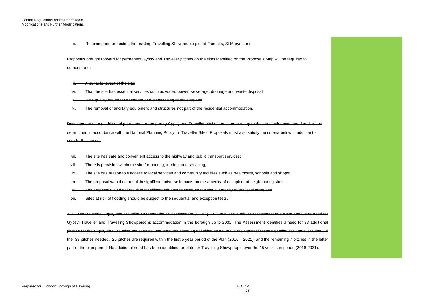Retaining and protecting the existing Travelling Showpeople plot at Fairoaks, St Marys Lane.

Proposals brought forward for permanent Gypsy and Traveller pitches on the sites identified on the Proposals Map will be required to demonstrate:

A suitable layout of the site;

That the site has essential services such as water, power, sewerage, drainage and waste disposal;

High quality boundary treatment and landscaping of the site; and

The removal of ancillary equipment and structures not part of the residential accommodation.

Development of any additional permanent or temporary Gypsy and Traveller pitches must meet an up to date and evidenced need and will be determined in accordance with the National Planning Policy for Traveller Sites. Proposals must also satisfy the criteria below in addition to criteria iii-vi above:

vii. The site has safe and convenient access to the highway and public transport services;

viii. There is provision within the site for parking, turning and servicing;

ix. The site has reasonable access to local services and community facilities such as healthcare, schools and shops;

The proposal would not result in significant adverse impacts on the amenity of occupiers of neighbouring sites;

The proposal would not result in significant adverse impacts on the visual amenity of the local area; and

xii. Sites at risk of flooding should be subject to the sequential and exception tests.

 Gypsy, Traveller and Travelling Showpersons accommodation in the borough up to 2031. The Assessment identifies a need for 33 additional the 33 pitches needed, 26 pitches are required within the first 5 year period of the Plan (2016 – 2021), and the remaining 7 pitches in the latter 7.9.1 The Havering Gypsy and Traveller Accommodation Assessment (GTAA) 2017 provides a robust assessment of current and future need for pitches for the Gypsy and Traveller households who meet the planning definition as set out in the National Planning Policy for Traveller Sites. Of part of the plan period. No additional need has been identified for plots for Travelling Showpeople over the 15 year plan period (2016-2031).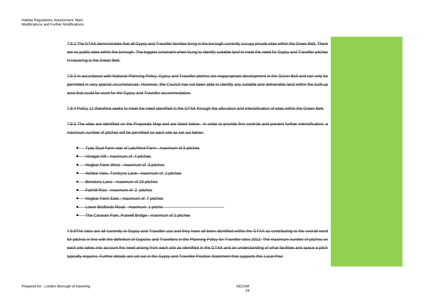7.9.2 The GTAA demonstrates that all Gypsy and Traveller families living in the borough currently occupy private sites within the Green Belt. There are no public sites within the borough. The biggest constraint when trying to identify suitable land to meet the need for Gypsy and Traveller pitches in Havering is the Green Belt.

 permitted in very special circumstances. However, the Council has not been able to identify any suitable and deliverable land within the built-up 7.9.3 In accordance with National Planning Policy, Gypsy and Traveller pitches are inappropriate development in the Green Belt and can only be area that could be used for the Gypsy and Traveller accommodation.

7.9.4 Policy 11 therefore seeks to meet the need identified in the GTAA through the allocation and intensification of sites within the Green Belt.

 7.9.5 The sites are identified on the Proposals Map and are listed below. In order to provide firm controls and prevent further intensification, a maximum number of pitches will be permitted on each site as set out below:

- **•** Tyas Stud Farm rear of Latchford Farm maximum of 5 pitches
- $\bullet$  Vinegar Hill maximum of 4 pitches
- **•** Hogbar Farm West maximum of 3 pitches
- **•** Ashlea View, Tomkyns Lane maximum of 2 pitches
- **Benskins Lane maximum of 10 pitches**
- Fairhill Rise maximum of 2 pitches
- **•** Hogbar Farm East maximum of 7 pitches
- Lower Bedfords Road maximum 1 pitche
- The Caravan Park, Putwell Bridge maximum of 2 pitches

 each site takes into account the need arising from each site as identified in the GTAA and an understanding of what facilities and space a pitch typically requires. Further details are set out in the Gypsy and Traveller Position Statement that supports this Local Plan 7.9.6The sites are all currently in Gypsy and Traveller use and they have all been identified within the GTAA as contributing to the overall need for pitches in line with the definition of Gypsies and Travellers in the Planning Policy for Traveller sites 2012. The maximum number of pitches on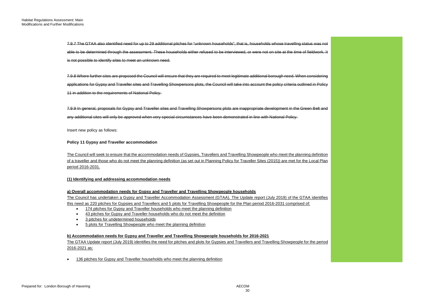7.9.7 The GTAA also identified need for up to 29 additional pitches for "unknown households", that is, households whose travelling status was not able to be determined through the assessment. These households either refused to be interviewed, or were not on site at the time of fieldwork. It is not possible to identify sites to meet an unknown need.

 7.9.8 Where further sites are proposed the Council will ensure that they are required to meet legitimate additional borough need. When considering applications for Gypsy and Traveller sites and Travelling Showpersons plots, the Council will take into account the policy criteria outlined in Policy 11 in addition to the requirements of National Policy.

7.9.9 In general, proposals for Gypsy and Traveller sites and Travelling Showpersons plots are inappropriate development in the Green Belt and any additional sites will only be approved when very special circumstances have been demonstrated in line with National Policy.

Insert new policy as follows:

#### **Policy 11 Gypsy and Traveller accommodation**

 of a traveller and those who do not meet the planning definition (as set out in Planning Policy for Traveller Sites (2015)) are met for the Local Plan The Council will seek to ensure that the accommodation needs of Gypsies, Travellers and Travelling Showpeople who meet the planning definition period 2016-2031.

#### **(1) Identifying and addressing accommodation needs**

# **a) Overall accommodation needs for Gypsy and Traveller and Travelling Showpeople households**

 The Council has undertaken a Gypsy and Traveller Accommodation Assessment (GTAA). The Update report (July 2019) of the GTAA identifies this need as 220 pitches for Gypsies and Travellers and 5 plots for Travelling Showpeople for the Plan period 2016-2031 comprised of:

- 174 pitches for Gypsy and Traveller households who meet the planning definition
- 43 pitches for Gypsy and Traveller households who do not meet the definition
- 3 pitches for undetermined households
- **5 plots for Travelling Showpeople who meet the planning definition**

# **b) Accommodation needs for Gypsy and Traveller and Travelling Showpeople households for 2016-2021**

The GTAA Update report (July 2019) identifies the need for pitches and plots for Gypsies and Travellers and Travelling Showpeople for the period 2016-2021 as:

• 136 pitches for Gypsy and Traveller households who meet the planning definition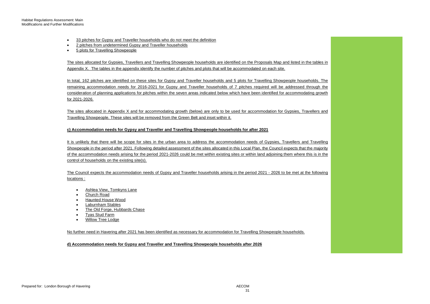- $\bullet$ 33 pitches for Gypsy and Traveller households who do not meet the definition
- 2 pitches from undetermined Gypsy and Traveller households
- 5 plots for Travelling Showpeople

The sites allocated for Gypsies, Travellers and Travelling Showpeople households are identified on the Proposals Map and listed in the tables in Appendix X. The tables in the appendix identify the number of pitches and plots that will be accommodated on each site.

 In total, 162 pitches are identified on these sites for Gypsy and Traveller households and 5 plots for Travelling Showpeople households. The remaining accommodation needs for 2016-2021 for Gypsy and Traveller households of 7 pitches required will be addressed through the consideration of planning applications for pitches within the seven areas indicated below which have been identified for accommodating growth for 2021-2026.

 The sites allocated in Appendix X and for accommodating growth (below) are only to be used for accommodation for Gypsies, Travellers and Travelling Showpeople. These sites will be removed from the Green Belt and inset within it.

#### **c) Accommodation needs for Gypsy and Traveller and Travelling Showpeople households for after 2021**

 It is unlikely that there will be scope for sites in the urban area to address the accommodation needs of Gypsies, Travellers and Travelling control of households on the existing site(s). Showpeople in the period after 2021. Following detailed assessment of the sites allocated in this Local Plan, the Council expects that the majority of the accommodation needs arising for the period 2021-2026 could be met within existing sites or within land adjoining them where this is in the

 The Council expects the accommodation needs of Gypsy and Traveller households arising in the period 2021 - 2026 to be met at the following locations :

- Ashlea View, Tomkyns Lane
- Church Road
- Haunted House Wood
- Laburnham Stables
- The Old Forge, Hubbards Chase
- Tyas Stud Farm
- Willow Tree Lodge

No further need in Havering after 2021 has been identified as necessary for accommodation for Travelling Showpeople households.

**d) Accommodation needs for Gypsy and Traveller and Travelling Showpeople households after 2026**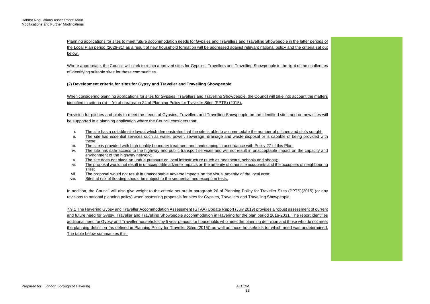Planning applications for sites to meet future accommodation needs for Gypsies and Travellers and Travelling Showpeople in the latter periods of the Local Plan period (2026-31) as a result of new household formation will be addressed against relevant national policy and the criteria set out below.

Where appropriate, the Council will seek to retain approved sites for Gypsies, Travellers and Travelling Showpeople in the light of the challenges of identifying suitable sites for these communities.

# **(2) Development criteria for sites for Gypsy and Traveller and Travelling Showpeople**

When considering planning applications for sites for Gypsies. Travellers and Travelling Showpeople, the Council will take into account the matters identified in criteria (a) – (e) of paragraph 24 of Planning Policy for Traveller Sites (PPTS) (2015).

Provision for pitches and plots to meet the needs of Gypsies, Travellers and Travelling Showpeople on the identified sites and on new sites will be supported in a planning application where the Council considers that:

- i. The site has a suitable site layout which demonstrates that the site is able to accommodate the number of pitches and plots sought;
- ii. The site has essential services such as water, power, sewerage, drainage and waste disposal or is capable of being provided with these;
- iii. The site is provided with high quality boundary treatment and landscaping in accordance with Policy 27 of this Plan;
- iv. The site has safe access to the highway and public transport services and will not result in unacceptable impact on the capacity and environment of the highway network;
- v. The site does not place an undue pressure on local infrastructure (such as healthcare, schools and shops);
- vi. The proposal would not result in unacceptable adverse impacts on the amenity of other site occupants and the occupiers of neighbouring sites;
- vii. The proposal would not result in unacceptable adverse impacts on the visual amenity of the local area;<br>viii. Sites at risk of flooding should be subject to the sequential and exception tests.
- Sites at risk of flooding should be subject to the sequential and exception tests.

 In addition, the Council will also give weight to the criteria set out in paragraph 26 of Planning Policy for Traveller Sites (PPTS)(2015) (or any revisions to national planning policy) when assessing proposals for sites for Gypsies, Travellers and Travelling Showpeople.

 7.9.1 The Havering Gypsy and Traveller Accommodation Assessment (GTAA) Update Report (July 2019) provides a robust assessment of current additional need for Gypsy and Traveller households by 5 year periods for households who meet the planning definition and those who do not meet the planning definition (as defined in Planning Policy for Traveller Sites (2015)) as well as those households for which need was undetermined. and future need for Gypsy, Traveller and Travelling Showpeople accommodation in Havering for the plan period 2016-2031. The report identifies The table below summarises this: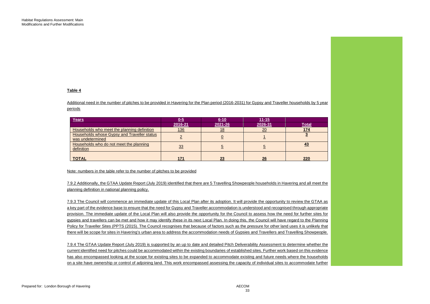#### **Table 4**

 Additional need in the number of pitches to be provided in Havering for the Plan period (2016-2031) for Gypsy and Traveller households by 5 year periods

| Years                                                                  | $0-5$   | $6 - 10$ | <u>11-15</u> |           |
|------------------------------------------------------------------------|---------|----------|--------------|-----------|
|                                                                        | 2016-21 | 2021-26  | 2026-31      | Total     |
| Households who meet the planning definition                            | 136     |          | ററ           | 174       |
| <b>Households whose Gypsy and Traveller status</b><br>was undetermined |         |          |              |           |
| Households who do not meet the planning<br>definition                  | 33      |          |              | <u>43</u> |
| <b>TOTAL</b>                                                           | 171     | 23       | 26           | 220       |

#### Note: numbers in the table refer to the number of pitches to be provided

7.9.2 Additionally, the GTAA Update Report (July 2019) identified that there are 5 Travelling Showpeople households in Havering and all meet the planning definition in national planning policy.

 7.9.3 The Council will commence an immediate update of this Local Plan after its adoption. It will provide the opportunity to review the GTAA as a key part of the evidence base to ensure that the need for Gypsy and Traveller accommodation is understood and recognised through appropriate provision. The immediate update of the Local Plan will also provide the opportunity for the Council to assess how the need for further sites for gypsies and travellers can be met and how it may identify these in its next Local Plan. In doing this, the Council will have regard to the Planning Policy for Traveller Sites (PPTS (2015). The Council recognises that because of factors such as the pressure for other land uses it is unlikely that there will be scope for sites in Havering's urban area to address the accommodation needs of Gypsies and Travellers and Travelling Showpeople.

 7.9.4 The GTAA Update Report (July 2019) is supported by an up to date and detailed Pitch Deliverability Assessment to determine whether the current identified need for pitches could be accommodated within the existing boundaries of established sites. Further work based on this evidence has also encompassed looking at the scope for existing sites to be expanded to accommodate existing and future needs where the households on a site have ownership or control of adjoining land. This work encompassed assessing the capacity of individual sites to accommodate further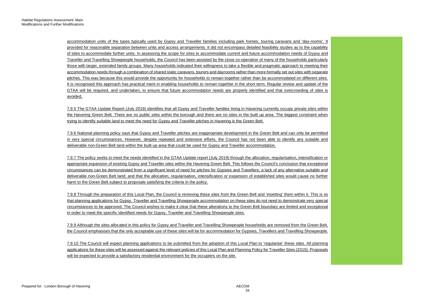accommodation units of the types typically used by Gypsy and Traveller families including park homes, touring caravans and 'day-rooms'. It Traveller and Travelling Showpeople households, the Council has been assisted by the close co-operation of many of the households particularly It is recognised this approach has practical merit in enabling households to remain together in the short term. Regular review and update of the provided for reasonable separation between units and access arrangements. It did not encompass detailed feasibility studies as to the capability of sites to accommodate further units. In assessing the scope for sites to accommodate current and future accommodation needs of Gypsy and those with larger, extended family groups. Many households indicated their willingness to take a flexible and pragmatic approach to meeting their accommodation needs through a combination of shared static caravans, tourers and dayrooms rather than more formally set out sites with separate pitches. This was because this would provide the opportunity for households to remain together rather than be accommodated on different sites. GTAA will be required, and undertaken, to ensure that future accommodation needs are properly identified and that overcrowding of sites is avoided.

 7.9.5 The GTAA Update Report (July 2019) identifies that all Gypsy and Traveller families living in Havering currently occupy private sites within the Havering Green Belt. There are no public sites within the borough and there are no sites in the built up area. The biggest constraint when trying to identify suitable land to meet the need for Gypsy and Traveller pitches in Havering is the Green Belt.

 7.9.6 National planning policy says that Gypsy and Traveller pitches are inappropriate development in the Green Belt and can only be permitted in very special circumstances. However, despite repeated and extensive efforts, the Council has not been able to identify any suitable and deliverable non-Green Belt land within the built-up area that could be used for Gypsy and Traveller accommodation.

 circumstances can be demonstrated from a significant level of need for pitches for Gypsies and Travellers; a lack of any alternative suitable and deliverable non-Green Belt land; and that the allocation, regularisation, intensification or expansion of established sites would cause no further harm to the Green Belt subject to proposals satisfying the criteria in the policy. 7.9.7 The policy seeks to meet the needs identified in the GTAA Update report (July 2019) through the allocation, regularisation, intensification or appropriate expansion of existing Gypsy and Traveller sites within the Havering Green Belt. This follows the Council's conclusion that exceptional

 7.9.8 Through the preparation of this Local Plan, the Council is removing these sites from the Green Belt and 'insetting' them within it. This is so that planning applications for Gypsy, Traveller and Travelling Showpeople accommodation on these sites do not need to demonstrate very special circumstances to be approved. The Council wishes to make it clear that these alterations to the Green Belt boundary are limited and exceptional in order to meet the specific identified needs for Gypsy, Traveller and Travelling Showpeople sites.

 the Council emphasises that the only acceptable use of these sites will be for accommodation for Gypsies, Travellers and Travelling Showpeople. 7.9.9 Although the sites allocated in this policy for Gypsy and Traveller and Travelling Showpeople households are removed from the Green Belt,

 7.9.10 The Council will expect planning applications to be submitted from the adoption of this Local Plan to 'regularise' these sites. All planning applications for these sites will be assessed against the relevant policies of this Local Plan and Planning Policy for Traveller Sites (2015). Proposals will be expected to provide a satisfactory residential environment for the occupiers on the site.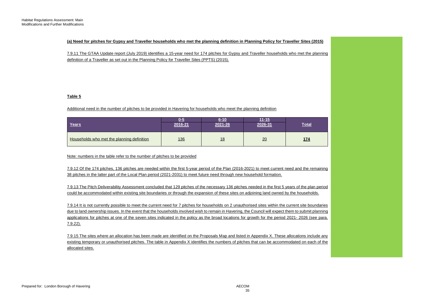## **(a) Need for pitches for Gypsy and Traveller households who met the planning definition in Planning Policy for Traveller Sites (2015)**

 7.9.11 The GTAA Update report (July 2019) identifies a 15-year need for 174 pitches for Gypsy and Traveller households who met the planning definition of a Traveller as set out in the Planning Policy for Traveller Sites (PPTS) (2015).

## **Table 5**

## Additional need in the number of pitches to be provided in Havering for households who meet the planning definition

| Years                                      | 055<br>2016-21 | $6 - 10$<br>2021-26 | $11 - 15$<br>2026-31 | <u>Total</u> |
|--------------------------------------------|----------------|---------------------|----------------------|--------------|
| Households who met the planning definition | 136            | <u>18</u>           | 20                   | <u>174</u>   |

Note: numbers in the table refer to the number of pitches to be provided

 7.9.12 Of the 174 pitches, 136 pitches are needed within the first 5-year period of the Plan (2016-2021) to meet current need and the remaining 38 pitches in the latter part of the Local Plan period (2021-2031) to meet future need through new household formation.

 7.9.13 The Pitch Deliverability Assessment concluded that 129 pitches of the necessary 136 pitches needed in the first 5 years of the plan period could be accommodated within existing site boundaries or through the expansion of these sites on adjoining land owned by the households.

 due to land ownership issues. In the event that the households involved wish to remain in Havering, the Council will expect them to submit planning applications for pitches at one of the seven sites indicated in the policy as the broad locations for growth for the period 2021- 2026 (see para. 7.9.14 It is not currently possible to meet the current need for 7 pitches for households on 2 unauthorised sites within the current site boundaries 7.9.22).

 7.9.15 The sites where an allocation has been made are identified on the Proposals Map and listed in Appendix X. These allocations include any existing temporary or unauthorised pitches. The table in Appendix X identifies the numbers of pitches that can be accommodated on each of the allocated sites.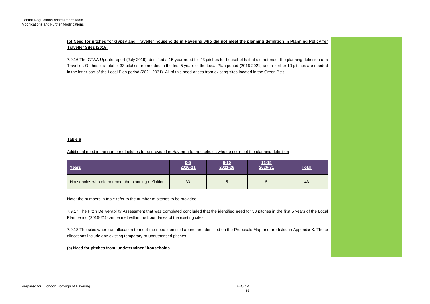**(b) Need for pitches for Gypsy and Traveller households in Havering who did not meet the planning definition in Planning Policy for Traveller Sites (2015)** 

 7.9.16 The GTAA Update report (July 2019) identified a 15-year need for 43 pitches for households that did not meet the planning definition of a Traveller. Of these, a total of 33 pitches are needed in the first 5 years of the Local Plan period (2016-2021) and a further 10 pitches are needed in the latter part of the Local Plan period (2021-2031). All of this need arises from existing sites located in the Green Belt.

# **Table 6**

Additional need in the number of pitches to be provided in Havering for households who do not meet the planning definition

| Years                                               | በ-5<br>2016-21 | 6-10<br>2021-26 | $11 - 15$<br>2026-31 | Total     |
|-----------------------------------------------------|----------------|-----------------|----------------------|-----------|
| Households who did not meet the planning definition | 33             |                 |                      | <u>43</u> |

Note: the numbers in table refer to the number of pitches to be provided

 7.9.17 The Pitch Deliverability Assessment that was completed concluded that the identified need for 33 pitches in the first 5 years of the Local Plan period (2016-21) can be met within the boundaries of the existing sites.

 7.9.18 The sites where an allocation to meet the need identified above are identified on the Proposals Map and are listed in Appendix X. These allocations include any existing temporary or unauthorised pitches.

# **(c) Need for pitches from 'undetermined' households**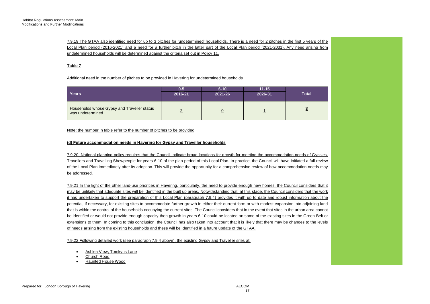7.9.19 The GTAA also identified need for up to 3 pitches for 'undetermined' households. There is a need for 2 pitches in the first 5 years of the Local Plan period (2016-2021) and a need for a further pitch in the latter part of the Local Plan period (2021-2031). Any need arising from undetermined households will be determined against the criteria set out in Policy 11.

## **Table 7**

Additional need in the number of pitches to be provided in Havering for undetermined households

| Years                                                           | 0-5<br>2016-21 | $6 - 10$<br>2021-26 | $11 - 15$<br>2026-31 | <b>Total</b> |
|-----------------------------------------------------------------|----------------|---------------------|----------------------|--------------|
| Households whose Gypsy and Traveller status<br>was undetermined |                |                     |                      |              |

#### Note: the number in table refer to the number of pitches to be provided

## **(d) Future accommodation needs in Havering for Gypsy and Traveller households**

 7.9.20. National planning policy requires that the Council indicate broad locations for growth for meeting the accommodation needs of Gypsies, Travellers and Travelling Showpeople for years 6-10 of the plan period of this Local Plan. In practice, the Council will have initiated a full review of the Local Plan immediately after its adoption. This will provide the opportunity for a comprehensive review of how accommodation needs may be addressed.

 7.9.21 In the light of the other land-use priorities in Havering, particularly, the need to provide enough new homes, the Council considers that it it has undertaken to support the preparation of this Local Plan (paragraph 7.9.4) provides it with up to date and robust information about the potential, if necessary, for existing sites to accommodate further growth in either their current form or with modest expansion into adjoining land be identified or would not provide enough capacity then growth in years 6-10 could be located on some of the existing sites in the Green Belt or extensions to them. In coming to this conclusion, the Council has also taken into account that it is likely that there may be changes to the levels may be unlikely that adequate sites will be identified in the built up areas. Notwithstanding that, at this stage, the Council considers that the work that is within the control of the households occupying the current sites. The Council considers that in the event that sites in the urban area cannot of needs arising from the existing households and these will be identified in a future update of the GTAA.

7.9.22 Following detailed work (see paragraph 7.9.4 above), the existing Gypsy and Traveller sites at:

- Ashlea View, Tomkyns Lane
- Church Road
- Haunted House Wood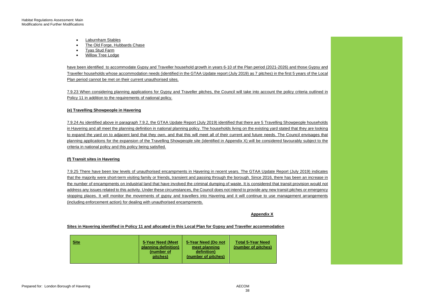- Laburnham Stables
- The Old Forge, Hubbards Chase
- Tyas Stud Farm
- Willow Tree Lodge

 Traveller households whose accommodation needs (identified in the GTAA Update report (July 2019) as 7 pitches) in the first 5 years of the Local have been identified to accommodate Gypsy and Traveller household growth in years 6-10 of the Plan period (2021-2026) and those Gypsy and Plan period cannot be met on their current unauthorised sites.

 7.9.23 When considering planning applications for Gypsy and Traveller pitches, the Council will take into account the policy criteria outlined in Policy 11 in addition to the requirements of national policy.

## **(e) Travelling Showpeople in Havering**

 in Havering and all meet the planning definition in national planning policy. The households living on the existing yard stated that they are looking to expand the yard on to adjacent land that they own, and that this will meet all of their current and future needs. The Council envisages that planning applications for the expansion of the Travelling Showpeople site (identified in Appendix X) will be considered favourably subject to the 7.9.24 As identified above in paragraph 7.9.2, the GTAA Update Report (July 2019) identified that there are 5 Travelling Showpeople households criteria in national policy and this policy being satisfied.

#### **(f) Transit sites in Havering**

 7.9.25 There have been low levels of unauthorised encampments in Havering in recent years. The GTAA Update Report (July 2019) indicates the number of encampments on industrial land that have involved the criminal dumping of waste. It is considered that transit provision would not address any issues related to this activity. Under these circumstances, the Council does not intend to provide any new transit pitches or emergency stopping places. It will monitor the movements of gypsy and travellers into Havering and it will continue to use management arrangements that the majority were short-term visiting family or friends, transient and passing through the borough. Since 2016, there has been an increase in (including enforcement action) for dealing with unauthorised encampments.

#### **Appendix X**

#### **Sites in Havering identified in Policy 11 and allocated in this Local Plan for Gypsy and Traveller accommodation**

| <b>Site</b> | 5-Year Need (Meet<br>planning definition)<br>(number of<br>pitches) | 5-Year Need (Do not<br>meet planning<br>definition)<br>(number of pitches) | <b>Total 5-Year Need</b><br>(number of pitches) |
|-------------|---------------------------------------------------------------------|----------------------------------------------------------------------------|-------------------------------------------------|
|             |                                                                     |                                                                            |                                                 |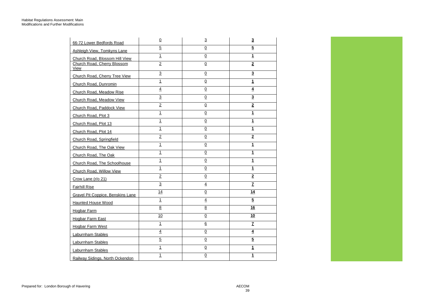| 66-72 Lower Bedfords Road                | $\underline{0}$ | $\overline{3}$  | $\overline{\mathbf{3}}$ |
|------------------------------------------|-----------------|-----------------|-------------------------|
| Ashleigh View, Tomkyns Lane              | $\overline{5}$  | $\Omega$        | $\overline{5}$          |
| Church Road, Blossom Hill View           | $\overline{1}$  | $\overline{0}$  | 1                       |
| Church Road, Cherry Blossom              | $\overline{2}$  | $\underline{0}$ | $\overline{2}$          |
| View                                     | $\overline{3}$  | $\overline{0}$  | $\overline{\mathbf{3}}$ |
| Church Road, Cherry Tree View            | $\mathbf{1}$    | $\Omega$        | $\mathbf{1}$            |
| Church Road, Dunromin                    | $\overline{4}$  | $\overline{0}$  | 4                       |
| Church Road, Meadow Rise                 | $\overline{3}$  | $\underline{0}$ | $\overline{\mathbf{3}}$ |
| Church Road, Meadow View                 |                 |                 |                         |
| Church Road, Paddock View                | $\overline{2}$  | $\Omega$        | $\overline{2}$          |
| Church Road, Plot 3                      | $\mathbf{1}$    | $\Omega$        | 1                       |
| Church Road, Plot 13                     | $\overline{1}$  | $\overline{0}$  | $\overline{\mathbf{1}}$ |
| Church Road, Plot 14                     | $\overline{1}$  | $\pmb{0}$       | $\mathbf{1}$            |
| Church Road, Springfield                 | $\overline{2}$  | $\overline{0}$  | $\overline{2}$          |
| Church Road, The Oak View                | $\mathbf{1}$    | $\Omega$        | $\mathbf{1}$            |
| Church Road, The Oak                     | $\overline{1}$  | $\Omega$        | $\mathbf{1}$            |
| Church Road, The Schoolhouse             | $\overline{1}$  | $\overline{0}$  | 1                       |
| Church Road, Willow View                 | $\mathbf{1}$    | 0               | 1                       |
| Crow Lane (r/o 21)                       | $\overline{2}$  | 0               | $\mathbf{2}$            |
| <b>Fairhill Rise</b>                     | 3               | $\overline{4}$  | $\overline{L}$          |
| <b>Gravel Pit Coppice, Benskins Lane</b> | 14              | $\Omega$        | 14                      |
| <b>Haunted House Wood</b>                | $\overline{1}$  | $\overline{4}$  | $\overline{5}$          |
| <b>Hogbar Farm</b>                       | $\overline{8}$  | $\overline{8}$  | 16                      |
| <b>Hogbar Farm East</b>                  | 10              | $\Omega$        | 10                      |
| <b>Hogbar Farm West</b>                  | $\mathbf{1}$    | $6\overline{6}$ | $\mathbf{Z}$            |
| Laburnham Stables                        | $\overline{4}$  | 0               | 4                       |
| Laburnham Stables                        | $\overline{5}$  | $\Omega$        | $\overline{5}$          |
| Laburnham Stables                        | $\overline{1}$  | $\overline{0}$  | $\overline{\mathbf{1}}$ |
| Railway Sidings, North Ockendon          | $\mathbf{1}$    | $\underline{0}$ | $\overline{1}$          |

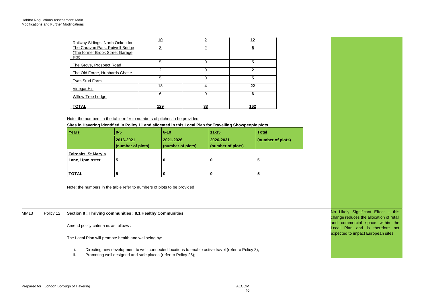| Railway Sidings, North Ockendon                                              | 10  | <u>2</u>  | 12       |
|------------------------------------------------------------------------------|-----|-----------|----------|
| The Caravan Park, Putwell Bridge<br>(The former Brook Street Garage<br>site) | 3   | 2         | <u>5</u> |
| The Grove, Prospect Road                                                     | 5   | 0         | 5        |
| The Old Forge, Hubbards Chase                                                |     | 0         |          |
| <b>Tyas Stud Farm</b>                                                        | 5   | <u>0</u>  | <u>5</u> |
| Vinegar Hill                                                                 | 18  | 4         | 22       |
| <b>Willow Tree Lodge</b>                                                     | 6   | 0         | 6        |
| TOTAL                                                                        | 129 | <u>33</u> | 162      |

Note: the numbers in the table refer to numbers of pitches to be provided

**Sites in Havering identified in Policy 11 and allocated in this Local Plan for Travelling Showpeople plots** 

| Years               | $0 - 5$           | $6 - 10$          | $11 - 15$         | <b>Total</b>      |
|---------------------|-------------------|-------------------|-------------------|-------------------|
|                     | 2016-2021         | 2021-2026         | 2026-2031         | (number of plots) |
|                     | (number of plots) | (number of plots) | (number of plots) |                   |
| Fairoaks, St Mary's |                   |                   |                   |                   |
| Lane, Upminster     | 5                 |                   |                   | C                 |
|                     |                   |                   |                   |                   |
| <b>TOTAL</b>        | $\overline{2}$    | υ                 | 0                 | <u>່ວ</u>         |

Note: the numbers in the table refer to numbers of plots to be provided

MM13 Policy 12 **Section 8 : Thriving communities : 8.1 Healthy Communities** 

Amend policy criteria iii. as follows :

The Local Plan will promote health and wellbeing by:

- i. Directing new development to well-connected locations to enable active travel (refer to Policy 3);
- ii. Promoting well designed and safe places (refer to Policy 26);

 No Likely Significant Effect – this and commercial space within the change reduces the allocation of retail Local Plan and is therefore not expected to impact European sites.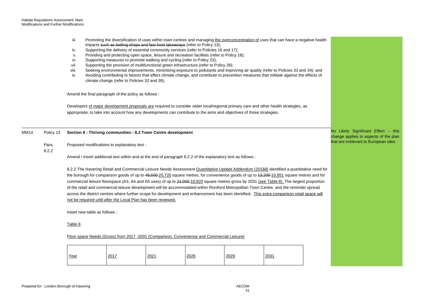|      |           | iii.<br>iv.<br>v.<br>vi.<br>vii.<br>viii.<br>ix. |                              | climate change (refer to Policies 32 and 36).        | impacts such as betting shops and fast food takeaways (refer to Policy 13);<br>Supporting the delivery of essential community services (refer to Policies 16 and 17);<br>Providing and protecting open space, leisure and recreation facilities (refer to Policy 18);<br>Supporting measures to promote walking and cycling (refer to Policy 23);<br>Supporting the provision of multifunctional green infrastructure (refer to Policy 29); |      |      | Promoting the diversification of uses within town centres and managing the overconcentration of uses that can have a negative health<br>Seeking environmental improvements, minimising exposure to pollutants and improving air quality (refer to Policies 33 and 34); and<br>Avoiding contributing to factors that affect climate change, and contribute to prevention measures that militate against the effects of                                                                                                                                                                                                                                                                                                           |                                                                              |
|------|-----------|--------------------------------------------------|------------------------------|------------------------------------------------------|---------------------------------------------------------------------------------------------------------------------------------------------------------------------------------------------------------------------------------------------------------------------------------------------------------------------------------------------------------------------------------------------------------------------------------------------|------|------|---------------------------------------------------------------------------------------------------------------------------------------------------------------------------------------------------------------------------------------------------------------------------------------------------------------------------------------------------------------------------------------------------------------------------------------------------------------------------------------------------------------------------------------------------------------------------------------------------------------------------------------------------------------------------------------------------------------------------------|------------------------------------------------------------------------------|
|      |           |                                                  |                              | Amend the final paragraph of the policy as follows : |                                                                                                                                                                                                                                                                                                                                                                                                                                             |      |      |                                                                                                                                                                                                                                                                                                                                                                                                                                                                                                                                                                                                                                                                                                                                 |                                                                              |
|      |           |                                                  |                              |                                                      | appropriate, to take into account how any developments can contribute to the aims and objectives of those strategies.                                                                                                                                                                                                                                                                                                                       |      |      | Developers of major development proposals are required to consider wider local/regional primary care and other health strategies, as                                                                                                                                                                                                                                                                                                                                                                                                                                                                                                                                                                                            |                                                                              |
| MM14 | Policy 13 |                                                  |                              |                                                      | Section 8 : Thriving communities : 8.2 Town Centre development                                                                                                                                                                                                                                                                                                                                                                              |      |      |                                                                                                                                                                                                                                                                                                                                                                                                                                                                                                                                                                                                                                                                                                                                 | No Likely Significant Effect - this<br>change applies to aspects of the plan |
|      | Para.     |                                                  |                              | Proposed modifications to explanatory text :         |                                                                                                                                                                                                                                                                                                                                                                                                                                             |      |      |                                                                                                                                                                                                                                                                                                                                                                                                                                                                                                                                                                                                                                                                                                                                 | that are irrelevant to European sites                                        |
|      | 8.2.2     |                                                  |                              |                                                      | Amend / insert additional text within and at the end of paragraph 8.2.2 of the explanatory text as follows :                                                                                                                                                                                                                                                                                                                                |      |      |                                                                                                                                                                                                                                                                                                                                                                                                                                                                                                                                                                                                                                                                                                                                 |                                                                              |
|      |           |                                                  |                              |                                                      | not be required until after the Local Plan has been reviewed.                                                                                                                                                                                                                                                                                                                                                                               |      |      | 8.2.2 The Havering Retail and Commercial Leisure Needs Assessment Quantitative Update Addendum (20158) identified a quantitative need for<br>the borough for comparison goods of up to 49,500-20,720 square metres, for convenience goods of up to 43,200-10,851 square metres and for<br>commercial leisure floorspace (A3, A4 and A5 uses) of up to 24,000-10,620 square metres gross by 2031 (see Table 8). The largest proportion<br>of the retail and commercial leisure development will be accommodated within Romford Metropolitan Town Centre, and the reminder spread<br>across the district centres where further scope for development and enhancement has been identified. This extra comparison retail space will |                                                                              |
|      |           |                                                  | Insert new table as follows: |                                                      |                                                                                                                                                                                                                                                                                                                                                                                                                                             |      |      |                                                                                                                                                                                                                                                                                                                                                                                                                                                                                                                                                                                                                                                                                                                                 |                                                                              |
|      |           | Table 8                                          |                              |                                                      |                                                                                                                                                                                                                                                                                                                                                                                                                                             |      |      |                                                                                                                                                                                                                                                                                                                                                                                                                                                                                                                                                                                                                                                                                                                                 |                                                                              |
|      |           |                                                  |                              |                                                      | Floor space Needs (Gross) from 2017 -2031 (Comparison, Convenience and Commercial Leisure)                                                                                                                                                                                                                                                                                                                                                  |      |      |                                                                                                                                                                                                                                                                                                                                                                                                                                                                                                                                                                                                                                                                                                                                 |                                                                              |
|      |           | Year                                             |                              | 2017                                                 | 2021                                                                                                                                                                                                                                                                                                                                                                                                                                        | 2026 | 2029 | 2031                                                                                                                                                                                                                                                                                                                                                                                                                                                                                                                                                                                                                                                                                                                            |                                                                              |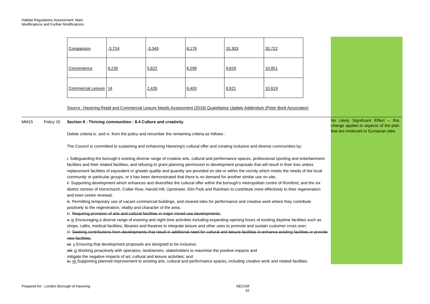| Comparison            | $-3,724$ | $-3,345$ | 8,179 | 15,303 | 20,722 |
|-----------------------|----------|----------|-------|--------|--------|
| Convenience           | 8,235    | 5,822    | 8,299 | 9,829  | 10,851 |
| Commercial Leisure 14 |          | 2,426    | 6,403 | 8,921  | 10,619 |

Source : Havering Retail and Commercial Leisure Needs Assessment (2018) Quantitative Update Addendum (Peter Brett Associates)

## MM15 Policy 15 **Section 8 : Thriving communities : 8.4 Culture and creativity**

Delete criteria iv. and vi. from the policy and renumber the remaining criteria as follows :

The Council is committed to sustaining and enhancing Havering's cultural offer and creating inclusive and diverse communities by:

i. Safeguarding the borough's existing diverse range of creative arts, cultural and performance spaces, professional sporting and entertainment facilities and their related facilities, and refusing to grant planning permission to development proposals that will result in their loss unless replacement facilities of equivalent or greater quality and quantity are provided on site or within the vicinity which meets the needs of the local community or particular groups, or it has been demonstrated that there is no demand for another similar use on site;

ii. Supporting development which enhances and diversifies the cultural offer within the borough's metropolitan centre of Romford, and the six district centres of Hornchurch, Collier Row, Harold Hill, Upminster, Elm Park and Rainham to contribute more effectively to their regeneration and town centre renewal;

 positively to the regeneration, vitality and character of the area; iii. Permitting temporary use of vacant commercial buildings, and cleared sites for performance and creative work where they contribute

iv. Requiring provision of arts and cultural facilities in major mixed use developments;

 v. iv Encouraging a diverse range of evening and night time activities including expanding opening hours of existing daytime facilities such as shops, cafés, medical facilities, libraries and theatres to integrate leisure and other uses to promote and sustain customer cross over;

 vi. Seeking contributions from developments that result in additional need for cultural and leisure facilities to enhance existing facilities or provide new facilities;

**vii.** v Ensuring that development proposals are designed to be inclusive;

viii. vi Working proactively with operators, landowners, stakeholders to maximise the positive impacts and

mitigate the negative impacts of art, cultural and leisure activities; and

ix vii Supporting planned improvement to existing arts, cultural and performance spaces, including creative work and related facilities.

 No Likely Significant Effect – this change applies to aspects of the plan that are irrelevant to European sites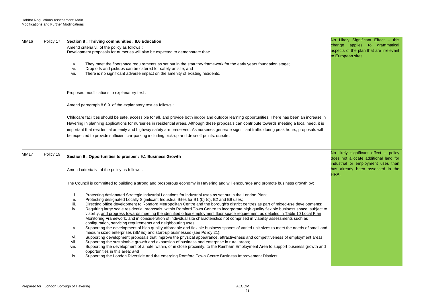#### MM16 Policy 17 **Section 8 : Thriving communities : 8.6 Education**

 Amend criteria vi. of the policy as follows : Development proposals for nurseries will also be expected to demonstrate that:

- v. They meet the floorspace requirements as set out in the statutory framework for the early years foundation stage;
- vi. Drop offs and pickups can be catered for safely on site; and
- vii. There is no significant adverse impact on the amenity of existing residents.

Proposed modifications to explanatory text :

Amend paragraph 8.6.9 of the explanatory text as follows :

Childcare facilities should be safe, accessible for all, and provide both indoor and outdoor learning opportunities. There has been an increase in Havering in planning applications for nurseries in residential areas. Although these proposals can contribute towards meeting a local need, it is important that residential amenity and highway safety are preserved. As nurseries generate significant traffic during peak hours, proposals will be expected to provide sufficient car-parking including pick-up and drop-off points, on site.

MM17 Policy 19 **Section 9 : Opportunities to prosper : 9.1 Business Growth** 

Amend criteria iv. of the policy as follows :

The Council is committed to building a strong and prosperous economy in Havering and will encourage and promote business growth by:

- i. Protecting designated Strategic Industrial Locations for industrial uses as set out in the London Plan;
- ii. Protecting designated Locally Significant Industrial Sites for B1 (b) (c), B2 and B8 uses;
- iii. Directing office development to Romford Metropolitan Centre and the borough's district centres as part of mixed-use developments;
- iv. Requiring large scale residential proposals within Romford Town Centre to incorporate high quality flexible business space, subject to viability, and progress towards meeting the identified office employment floor space requirement as detailed in Table 10 Local Plan Monitoring Framework, and in consideration of individual site characteristics not comprised in viability assessments such as configuration, servicing requirements and neighbouring uses.
- Supporting the development of high quality affordable and flexible business spaces of varied unit sizes to meet the needs of small and v. medium sized enterprises (SMEs) and start-up businesses (see Policy 21);
- vi. Supporting development proposals that improve the physical appearance, attractiveness and competitiveness of employment areas;
- vii. Supporting the sustainable growth and expansion of business and enterprise in rural areas;
- opportunities in this area; and viii. Supporting the development of a hotel within, or in close proximity, to the Rainham Employment Area to support business growth and
- ix. Supporting the London Riverside and the emerging Romford Town Centre Business Improvement Districts;

 No Likely Significant Effect – this change applies to grammatical aspects of the plan that are irrelevant to European sites

 does not allocate additional land for No likely significant effect – policy industrial or employment uses than has already been assessed in the HRA.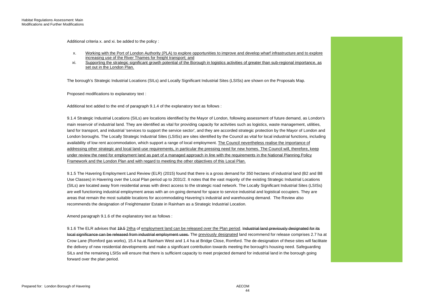Additional criteria x. and xi. be added to the policy :

- x. Working with the Port of London Authority (PLA) to explore opportunities to improve and develop wharf infrastructure and to explore increasing use of the River Thames for freight transport; and
- xi. Supporting the strategic significant growth potential of the Borough in logistics activities of greater than sub-regional importance, as set out in the London Plan.

The borough's Strategic Industrial Locations (SILs) and Locally Significant Industrial Sites (LSISs) are shown on the Proposals Map.

Proposed modifications to explanatory text :

Additional text added to the end of paragraph 9.1.4 of the explanatory text as follows :

 main reservoir of industrial land. They are identified as vital for providing capacity for activities such as logistics, waste management, utilities, availability of low rent accommodation, which support a range of local employment. The Council nevertheless realise the importance of under review the need for employment land as part of a managed approach in line with the requirements in the National Planning Policy 9.1.4 Strategic Industrial Locations (SILs) are locations identified by the Mayor of London, following assessment of future demand, as London's land for transport, and industrial 'services to support the service sector', and they are accorded strategic protection by the Mayor of London and London boroughs. The Locally Strategic Industrial Sites (LSISs) are sites identified by the Council as vital for local industrial functions, including addressing other strategic and local land-use requirements, in particular the pressing need for new homes. The Council will, therefore, keep Framework and the London Plan and with regard to meeting the other objectives of this Local Plan.

 (SILs) are located away from residential areas with direct access to the strategic road network. The Locally Significant Industrial Sites (LSISs) are well functioning industrial employment areas with an on-going demand for space to service industrial and logistical occupiers. They are 9.1.5 The Havering Employment Land Review (ELR) (2015) found that there is a gross demand for 350 hectares of industrial land (B2 and B8 Use Classes) in Havering over the Local Plan period up to 2031/2. It notes that the vast majority of the existing Strategic Industrial Locations areas that remain the most suitable locations for accommodating Havering's industrial and warehousing demand. The Review also recommends the designation of Freightmaster Estate in Rainham as a Strategic Industrial Location.

Amend paragraph 9.1.6 of the explanatory text as follows :

 Crow Lane (Romford gas works), 15.4 ha at Rainham West and 1.4 ha at Bridge Close, Romford. The de-designation of these sites will facilitate 9.1.6 The ELR advises that 49.5 24ha of employment land can be released over the Plan period. Industrial land previously designated for its local significance can be released from industrial employment uses. The previously designated land recommend for release comprises 2.7 ha at the delivery of new residential developments and make a significant contribution towards meeting the borough's housing need. Safeguarding SILs and the remaining LSISs will ensure that there is sufficient capacity to meet projected demand for industrial land in the borough going forward over the plan period.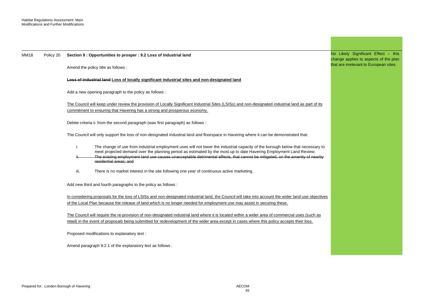| <b>MM18</b> | Policy 20 | Section 9 : Opportunities to prosper : 9.2 Loss of Industrial land                                                                                                                                                                                                                                                                                                                                                     | No Likely Significant Effect - this<br>change applies to aspects of the plan |
|-------------|-----------|------------------------------------------------------------------------------------------------------------------------------------------------------------------------------------------------------------------------------------------------------------------------------------------------------------------------------------------------------------------------------------------------------------------------|------------------------------------------------------------------------------|
|             |           | Amend the policy title as follows :                                                                                                                                                                                                                                                                                                                                                                                    | that are irrelevant to European sites.                                       |
|             |           | <b>Loss of industrial land Loss of locally significant industrial sites and non-designated land</b>                                                                                                                                                                                                                                                                                                                    |                                                                              |
|             |           | Add a new opening paragraph to the policy as follows :                                                                                                                                                                                                                                                                                                                                                                 |                                                                              |
|             |           | The Council will keep under review the provision of Locally Significant Industrial Sites (LSISs) and non-designated industrial land as part of its<br>commitment to ensuring that Havering has a strong and prosperous economy.                                                                                                                                                                                        |                                                                              |
|             |           | Delete criteria ii. from the second paragraph (was first paragraph) as follows :                                                                                                                                                                                                                                                                                                                                       |                                                                              |
|             |           | The Council will only support the loss of non-designated industrial land and floorspace in Havering where it can be demonstrated that:                                                                                                                                                                                                                                                                                 |                                                                              |
|             |           | i.<br>The change of use from industrial employment uses will not lower the industrial capacity of the borough below that necessary to<br>meet projected demand over the planning period as estimated by the most up to date Havering Employment Land Review;<br>The existing employment land use causes unacceptable detrimental effects, that cannot be mitigated, on the amenity of nearby<br>residential areas: and |                                                                              |
|             |           | iii.<br>There is no market interest in the site following one year of continuous active marketing.                                                                                                                                                                                                                                                                                                                     |                                                                              |
|             |           | Add new third and fourth paragraphs to the policy as follows :                                                                                                                                                                                                                                                                                                                                                         |                                                                              |
|             |           | In considering proposals for the loss of LSISs and non-designated industrial land, the Council will take into account the wider land-use objectives<br>of the Local Plan because the release of land which is no longer needed for employment use may assist in securing these.                                                                                                                                        |                                                                              |
|             |           | The Council will require the re-provision of non-designated industrial land where it is located within a wider area of commercial uses (such as<br>retail) in the event of proposals being submitted for redevelopment of the wider area except in cases where this policy accepts their loss.                                                                                                                         |                                                                              |
|             |           | Proposed modifications to explanatory text :                                                                                                                                                                                                                                                                                                                                                                           |                                                                              |
|             |           | Amend paragraph 9.2.1 of the explanatory text as follows:                                                                                                                                                                                                                                                                                                                                                              |                                                                              |

a sa kacamatan ing Kabupatèn Kabupatèn Kabupatèn Kabupatèn Kabupatèn Kabupatèn Kabupatèn Kabupatèn Kabupatèn K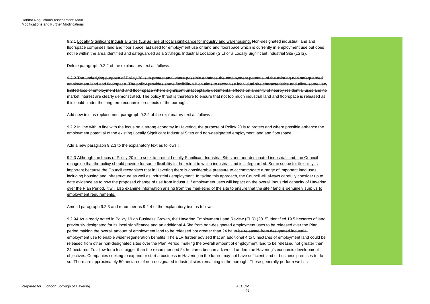9.2.1 Locally Significant Industrial Sites (LSISs) are of local significance for industry and warehousing. Non-designated industrial land and floorspace comprises land and floor space last used for employment use or land and floorspace which is currently in employment use but does not lie within the area identified and safeguarded as a Strategic Industrial Location (SIL) or a Locally Significant Industrial Site (LSIS).

Delete paragraph 9.2.2 of the explanatory text as follows :

 9.2.2 The underlying purpose of Policy 20 is to protect and where possible enhance the employment potential of the existing non safeguarded limited loss of employment land and floor space where significant unacceptable detrimental effects on amenity of nearby residential uses and no employment land and floorspace. The policy provides some flexibility which aims to recognise individual site characteristics and allow some very market interest are clearly demonstrated. The policy thrust is therefore to ensure that not too much industrial land and floorspace is released as this could hinder the long term economic prospects of the borough.

Add new text as replacement paragraph 9.2.2 of the explanatory text as follows :

9.2.2 In line with In line with the focus on a strong economy in Havering, the purpose of Policy 20 is to protect and where possible enhance the employment potential of the existing Locally Significant Industrial Sites and non-designated employment land and floorspace.

Add a new paragraph 9.2.3 to the explanatory text as follows :

 9.2.3 Although the focus of Policy 20 is to seek to protect Locally Significant Industrial Sites and non-designated industrial land, the Council date evidence as to how the proposed change of use from industrial / employment uses will impact on the overall industrial capacity of Havering over the Plan Period. It will also examine information arising from the marketing of the site to ensure that the site / land is genuinely surplus to recognise that the policy should provide for some flexibility in the extent to which industrial land is safequarded. Some scope for flexibility is important because the Council recognises that in Havering there is considerable pressure to accommodate a range of important land uses including housing and infrastructure as well as industrial / employment. In taking this approach, the Council will always carefully consider up to employment requirements.

Amend paragraph 9.2.3 and renumber as 9.2.4 of the explanatory text as follows :

 period making the overall amount of employment land to be released not greater than 24 ha to be released from designated industrial employment use to enable wider regeneration benefits. The ELR further advised that an additional 4 to 5 hectares of employment land could be objectives. Companies seeking to expand or start a business in Havering in the future may not have sufficient land or business premises to do so. There are approximately 50 hectares of non-designated industrial sites remaining in the borough. These generally perform well as 9.2.34 As already noted in Policy 19 on Business Growth, the Havering Employment Land Review (ELR) (2015) identified 19.5 hectares of land previously designated for its local significance and an additional 4-5ha from non-designated employment uses to be released over the Plan released from other non-designated sites over the Plan Period, making the overall amount of employment land to be released not greater than 24 hectares. To allow for a loss bigger than the recommended 24 hectares benchmark would undermine Havering's economic development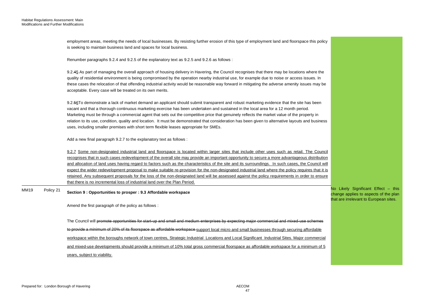|      |           | employment areas, meeting the needs of local businesses. By resisting further erosion of this type of employment land and floorspace this policy<br>is seeking to maintain business land and spaces for local business.                                                                                                                                                                                                                                                                                                                                                                                                                                                                                                                                                                                                                   |                                                                              |
|------|-----------|-------------------------------------------------------------------------------------------------------------------------------------------------------------------------------------------------------------------------------------------------------------------------------------------------------------------------------------------------------------------------------------------------------------------------------------------------------------------------------------------------------------------------------------------------------------------------------------------------------------------------------------------------------------------------------------------------------------------------------------------------------------------------------------------------------------------------------------------|------------------------------------------------------------------------------|
|      |           | Renumber paragraphs 9.2.4 and 9.2.5 of the explanatory text as 9.2.5 and 9.2.6 as follows :                                                                                                                                                                                                                                                                                                                                                                                                                                                                                                                                                                                                                                                                                                                                               |                                                                              |
|      |           | 9.2.45 As part of managing the overall approach of housing delivery in Havering, the Council recognises that there may be locations where the<br>quality of residential environment is being compromised by the operation nearby industrial use, for example due to noise or access issues. In<br>these cases the relocation of that offending industrial activity would be reasonable way forward in mitigating the adverse amenity issues may be<br>acceptable. Every case will be treated on its own merits.                                                                                                                                                                                                                                                                                                                           |                                                                              |
|      |           | 9.2.56 To demonstrate a lack of market demand an applicant should submit transparent and robust marketing evidence that the site has been<br>vacant and that a thorough continuous marketing exercise has been undertaken and sustained in the local area for a 12 month period.<br>Marketing must be through a commercial agent that sets out the competitive price that genuinely reflects the market value of the property in<br>relation to its use, condition, quality and location. It must be demonstrated that consideration has been given to alternative layouts and business<br>uses, including smaller premises with short term flexible leases appropriate for SMEs.                                                                                                                                                         |                                                                              |
|      |           | Add a new final paragraph 9.2.7 to the explanatory text as follows :                                                                                                                                                                                                                                                                                                                                                                                                                                                                                                                                                                                                                                                                                                                                                                      |                                                                              |
|      |           | 9.2.7 Some non-designated industrial land and floorspace is located within larger sites that include other uses such as retail. The Council<br>recognises that in such cases redevelopment of the overall site may provide an important opportunity to secure a more advantageous distribution<br>and allocation of land uses having regard to factors such as the characteristics of the site and its surroundings. In such cases, the Council will<br>expect the wider redevelopment proposal to make suitable re-provision for the non-designated industrial land where the policy requires that it is<br>retained. Any subsequent proposals for the loss of the non-designated land will be assessed against the policy requirements in order to ensure<br>that there is no incremental loss of industrial land over the Plan Period. |                                                                              |
| MM19 | Policy 21 | Section 9 : Opportunities to prosper : 9.3 Affordable workspace                                                                                                                                                                                                                                                                                                                                                                                                                                                                                                                                                                                                                                                                                                                                                                           | No Likely Significant Effect - this<br>change applies to aspects of the plan |
|      |           | Amend the first paragraph of the policy as follows :                                                                                                                                                                                                                                                                                                                                                                                                                                                                                                                                                                                                                                                                                                                                                                                      | that are irrelevant to European sites.                                       |
|      |           | The Council will promote opportunities for start-up and small and medium enterprises by expecting major commercial and mixed-use schemes                                                                                                                                                                                                                                                                                                                                                                                                                                                                                                                                                                                                                                                                                                  |                                                                              |
|      |           | to provide a minimum of 20% of its floorspace as affordable workspace support local micro and small businesses through securing affordable                                                                                                                                                                                                                                                                                                                                                                                                                                                                                                                                                                                                                                                                                                |                                                                              |
|      |           | workspace within the boroughs network of town centres, Strategic Industrial Locations and Local Significant Industrial Sites. Major commercial                                                                                                                                                                                                                                                                                                                                                                                                                                                                                                                                                                                                                                                                                            |                                                                              |
|      |           | and mixed-use developments should provide a minimum of 10% total gross commercial floorspace as affordable workspace for a minimum of 5                                                                                                                                                                                                                                                                                                                                                                                                                                                                                                                                                                                                                                                                                                   |                                                                              |
|      |           | years, subject to viability.                                                                                                                                                                                                                                                                                                                                                                                                                                                                                                                                                                                                                                                                                                                                                                                                              |                                                                              |
|      |           |                                                                                                                                                                                                                                                                                                                                                                                                                                                                                                                                                                                                                                                                                                                                                                                                                                           |                                                                              |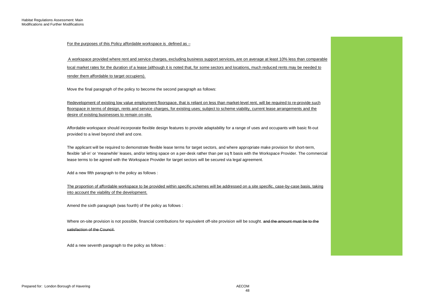For the purposes of this Policy affordable workspace is defined as –

 A workspace provided where rent and service charges, excluding business support services, are on average at least 10% less than comparable local market rates for the duration of a lease (although it is noted that, for some sectors and locations, much reduced rents may be needed to render them affordable to target occupiers).

Move the final paragraph of the policy to become the second paragraph as follows:

 Redevelopment of existing low value employment floorspace, that is reliant on less than market-level rent, will be required to re-provide such floorspace in terms of design, rents and service charges, for existing uses; subject to scheme viability, current lease arrangements and the desire of existing businesses to remain on-site.

Affordable workspace should incorporate flexible design features to provide adaptability for a range of uses and occupants with basic fit-out provided to a level beyond shell and core.

The applicant will be required to demonstrate flexible lease terms for target sectors, and where appropriate make provision for short-term, flexible 'all-in' or 'meanwhile' leases, and/or letting space on a per-desk rather than per sq ft basis with the Workspace Provider. The commercial lease terms to be agreed with the Workspace Provider for target sectors will be secured via legal agreement.

Add a new fifth paragraph to the policy as follows :

The proportion of affordable workspace to be provided within specific schemes will be addressed on a site specific, case-by-case basis, taking into account the viability of the development.

Amend the sixth paragraph (was fourth) of the policy as follows :

Where on-site provision is not possible, financial contributions for equivalent off-site provision will be sought. <del>and the amount must be to the</del> satisfaction of the Council.

Add a new seventh paragraph to the policy as follows :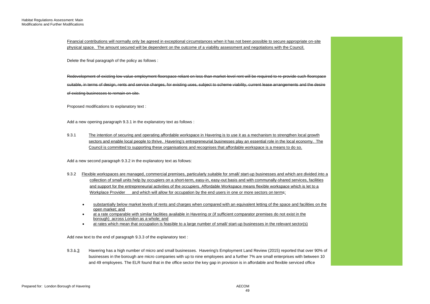Financial contributions will normally only be agreed in exceptional circumstances when it has not been possible to secure appropriate on-site physical space. The amount secured will be dependent on the outcome of a viability assessment and negotiations with the Council.

Delete the final paragraph of the policy as follows :

 suitable, in terms of design, rents and service charges, for existing uses, subject to scheme viability, current lease arrangements and the desire of existing businesses to remain on-site. Redevelopment of existing low value employment floorspace reliant on less than market-level rent will be required to re-provide such floorspace

Proposed modifications to explanatory text :

Add a new opening paragraph 9.3.1 in the explanatory text as follows :

9.3.1 The intention of securing and operating affordable workspace in Havering is to use it as a mechanism to strengthen local growth sectors and enable local people to thrive. Havering's entrepreneurial businesses play an essential role in the local economy. The Council is committed to supporting these organisations and recognises that affordable workspace is a means to do so.

Add a new second paragraph 9.3.2 in the explanatory text as follows:

- 9.3.2 Flexible workspaces are managed, commercial premises, particularly suitable for small/ start-up businesses and which are divided into a Workplace Provider collection of small units help by occupiers on a short-term, easy-in, easy-out basis and with communally-shared services, facilities and support for the entrepreneurial activities of the occupiers. Affordable Workspace means flexible workspace which is let to a and which will allow for occupation by the end users in one or more sectors on terms:
	- substantially below market levels of rents and charges when compared with an equivalent letting of the space and facilities on the open market; and
	- at a rate comparable with similar facilities available in Havering or (if sufficient comparator premises do not exist in the borough)\_across London as a whole; and
	- at rates which mean that occupation is feasible to a large number of small/ start-up businesses in the relevant sector(s)

Add new text to the end of paragraph 9.3.3 of the explanatory text :

 and 49 employees. The ELR found that in the office sector the key gap in provision is in affordable and flexible serviced office 9.3.1.3 Havering has a high number of micro and small businesses. Havering's Employment Land Review (2015) reported that over 90% of businesses in the borough are micro companies with up to nine employees and a further 7% are small enterprises with between 10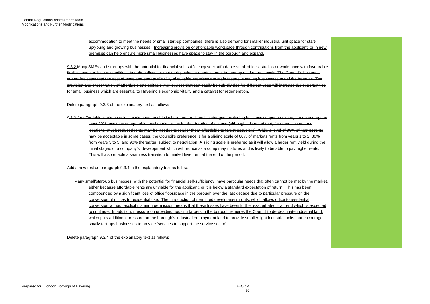up/young and growing businesses. Increasing provision of affordable workspace through contributions from the applicant, or in new accommodation to meet the needs of small start-up companies, there is also demand for smaller industrial unit space for startpremises can help ensure more small businesses have space to stay in the borough and expand.

9.3.2 Many SMEs and start-ups with the potential for financial self-sufficiency seek affordable small offices, studios or workspace with favourable flexible lease or licence conditions but often discover that their particular needs cannot be met by market rent levels. The Council's business survey indicates that the cost of rents and poor availability of suitable premises are main factors in driving businesses out of the borough. The provision and preservation of affordable and suitable workspaces that can easily be sub-divided for different uses will increase the opportunities for small business which are essential to Havering's economic vitality and a catalyst for regeneration.

Delete paragraph 9.3.3 of the explanatory text as follows :

 locations, much reduced rents may be needed to render them affordable to target occupiers). While a level of 80% of market rents 9.3.3 An affordable workspace is a workspace provided where rent and service charges, excluding business support services, are on average at least 20% less than comparable local market rates for the duration of a lease (although it is noted that, for some sectors and may be acceptable in some cases, the Council's preference is for a sliding scale of 60% of markets rents from years 1 to 2; 80% from years 3 to 5; and 90% thereafter, subject to negotiation. A sliding scale is preferred as it will allow a larger rent yield during the initial stages of a company's' development which will reduce as a comp may matures and is likely to be able to pay higher rents. This will also enable a seamless transition to market level rent at the end of the period.

Add a new text as paragraph 9.3.4 in the explanatory text as follows :

 compounded by a significant loss of office floorspace in the borough over the last decade due to particular pressure on the which puts additional pressure on the borough's industrial employment land to provide smaller light industrial units that encourage Many small/start-up businesses, with the potential for financial self-sufficiency, have particular needs that often cannot be met by the market, either because affordable rents are unviable for the applicant, or it is below a standard expectation of return. This has been conversion of offices to residential use. The introduction of permitted development rights, which allows office to residential conversion without explicit planning permission means that these losses have been further exacerbated – a trend which is expected to continue. In addition, pressure on providing housing targets in the borough requires the Council to de-designate industrial land, small/start-ups businesses to provide 'services to support the service sector'.

Delete paragraph 9.3.4 of the explanatory text as follows :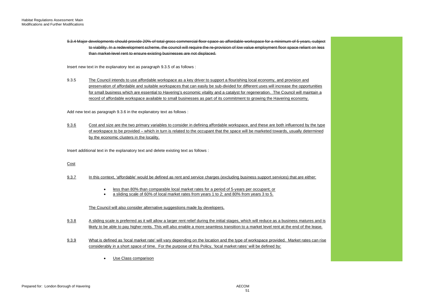to viability. In a redevelopment scheme, the council will require the re-provision of low value employment floor space reliant on less 9.3.4 Major developments should provide 20% of total gross commercial floor space as affordable workspace for a minimum of 5 years, subject than market-level rent to ensure existing businesses are not displaced.

Insert new text in the explanatory text as paragraph 9.3.5 of as follows :

 record of affordable workspace available to small businesses as part of its commitment to growing the Havering economy. 9.3.5 The Council intends to use affordable workspace as a key driver to support a flourishing local economy, and provision and preservation of affordable and suitable workspaces that can easily be sub-divided for different uses will increase the opportunities for small business which are essential to Havering's economic vitality and a catalyst for regeneration. The Council will maintain a

Add new text as paragraph 9.3.6 in the explanatory text as follows :

9.3.6 Cost and size are the two primary variables to consider in defining affordable workspace, and these are both influenced by the type of workspace to be provided – which in turn is related to the occupant that the space will be marketed towards, usually determined by the economic clusters in the locality.

Insert additional text in the explanatory text and delete existing text as follows :

# Cost

- 9.3.7 In this context, 'affordable' would be defined as rent and service charges (excluding business support services) that are either:
	- less than 80% than comparable local market rates for a period of 5-years per occupant; or
	- a sliding scale of 60% of local market rates from years 1 to 2; and 80% from years 3 to 5.

# The Council will also consider alternative suggestions made by developers.

- likely to be able to pay higher rents. This will also enable a more seamless transition to a market level rent at the end of the lease. 9.3.8 A sliding scale is preferred as it will allow a larger rent relief during the initial stages, which will reduce as a business matures and is
- 9.3.9 What is defined as 'local market rate' will vary depending on the location and the type of workspace provided. Market rates can rise considerably in a short space of time. For the purpose of this Policy, 'local market rates' will be defined by:
	- Use Class comparison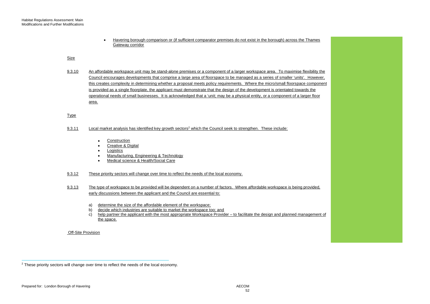Havering borough comparison or (if sufficient comparator premises do not exist in the borough) across the Thames Gateway corridor

### Size

 9.3.10 An affordable workspace unit may be stand-alone premises or a component of a larger workspace area. To maximise flexibility the Council encourages developments that comprise a large area of floorspace to be managed as a series of smaller 'units'. However, this creates complexity in determining whether a proposal meets policy requirements. Where the micro/small floorspace component is provided as a single floorplate, the applicant must demonstrate that the design of the development is orientated towards the operational needs of small businesses. It is acknowledged that a 'unit; may be a physical entity, or a component of a larger floor area.

## Type

- 9.3.11 Local market analysis has identified key growth sectors<sup>2</sup> which the Council seek to strengthen. These include:
	- $\bullet$ **Construction**
	- $\bullet$ Creative & Digital
	- $\ddot{\phantom{1}}$ **Logistics**
	- $\bullet$ Manufacturing, Engineering & Technology
	- $\bullet$ Medical science & Health/Social Care
- 9.3.12 These priority sectors will change over time to reflect the needs of the local economy.
- 9.3.13 The type of workspace to be provided will be dependent on a number of factors. Where affordable workspace is being provided, early discussions between the applicant and the Council are essential to:
	- a) determine the size of the affordable element of the workspace;
	- decide which industries are suitable to market the workspace too; and
	- b) c) help partner the applicant with the most appropriate Workspace Provider – to facilitate the design and planned management of the space.

Off-Site Provision

<sup>&</sup>lt;sup>2</sup> These priority sectors will change over time to reflect the needs of the local economy.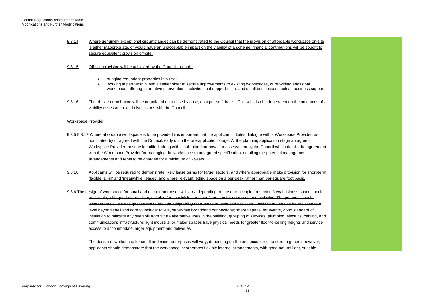9.3.14 Where genuinely exceptional circumstances can be demonstrated to the Council that the provision of affordable workspace on-site secure equivalent provision off-site. is either inappropriate, or would have an unacceptable impact on the viability of a scheme, financial contributions will be sought to

#### 9.3.15 Off-site provision will be achieved by the Council through:

- bringing redundant properties into use;
- working in partnership with a stakeholder to secure improvements to existing workspaces, or providing additional workspace; offering alternative interventions/activities that support micro and small businesses such as business support.
- 9.3.16 The off-site contribution will be negotiated on a case by case, cost per sq ft basis. This will also be dependent on the outcomes of a viability assessment and discussions with the Council.

#### Workspace Provider

- <del>9.3.5</del> 9.3.17 Where affordable workspace is to be provided it is important that the applicant initiates dialogue with a Workspace Provider, as Workspace Provider must be identified, along with a submitted proposal for assessment by the Council which details the agreement nominated by or agreed with the Council, early on in the pre-application stage. At the planning application stage an agreed with the Workspace Provider for managing the workspace to an agreed specification; detailing the potential management arrangements and rents to be charged for a minimum of 5 years.
- 9.3.18 Applicants will be required to demonstrate likely lease terms for target sectors, and where appropriate make provision for short-term, flexible 'all-in' and 'meanwhile' leases, and where relevant letting space on a per-desk rather than per-square-foot basis.
- insulation to mitigate any overspill from future alternative uses in the building, grouping of services; plumbing, electrics, cabling, and communications infrastructure; light industrial or maker spaces have physical needs for greater floor-to-ceiling heights and service 9.3.6 The design of workspace for small and micro enterprises will vary, depending on the end occupier or sector. New business space should be flexible, with good natural light, suitable for subdivision and configuration for new uses and activities. The proposal should incorporate flexible design features to provide adaptability for a range of uses and activities. Basic fit-out should be provided to a level beyond shell and core to include: toilets, super-fast broadband connections; shared space for events, good standard of access to accommodate larger equipment and deliveries.

The design of workspace for small and micro enterprises will vary, depending on the end occupier or sector. In general however, applicants should demonstrate that the workspace incorporates flexible internal arrangements, with good natural light, suitable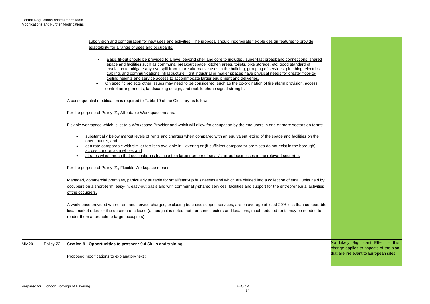adaptability for a range of uses and occupants. subdivision and configuration for new uses and activities. The proposal should incorporate flexible design features to provide

- insulation to mitigate any overspill from future alternative uses in the building, grouping of services; plumbing, electrics, Basic fit-out should be provided to a level beyond shell and core to include: , super-fast broadband connections; shared space and facilities such as communal breakout space, kitchen areas, toilets, bike storage, etc; good standard of cabling, and communications infrastructure; light industrial or maker spaces have physical needs for greater floor-toceiling heights and service access to accommodate larger equipment and deliveries.
- On specific projects other issues may need to be considered, such as the co-ordination of fire alarm provision, access control arrangements, landscaping design, and mobile phone signal strength.

A consequential modification is required to Table 10 of the Glossary as follows:

#### For the purpose of Policy 21, Affordable Workspace means:

Flexible workspace which is let to a Workspace Provider and which will allow for occupation by the end users in one or more sectors on terms:

- substantially below market levels of rents and charges when compared with an equivalent letting of the space and facilities on the open market; and
- $\bullet$  at a rate comparable with similar facilities available in Havering or (if sufficient comparator premises do not exist in the borough) across London as a whole; and
- at rates which mean that occupation is feasible to a large number of small/start-up businesses in the relevant sector(s).

#### For the purpose of Policy 21, Flexible Workspace means:

 occupiers on a short-term, easy-in, easy-out basis and with communally-shared services, facilities and support for the entrepreneurial activities Managed, commercial premises, particularly suitable for small/start-up businesses and which are divided into a collection of small units held by of the occupiers.

 A workspace provided where rent and service charges, excluding business support services, are on average at least 20% less than comparable local market rates for the duration of a lease (although it is noted that, for some sectors and locations, much reduced rents may be needed to render them affordable to target occupiers)

MM20 Policy 22 **Section 9 : Opportunities to prosper : 9.4 Skills and training** 

Proposed modifications to explanatory text :

 No Likely Significant Effect – this change applies to aspects of the plan that are irrelevant to European sites.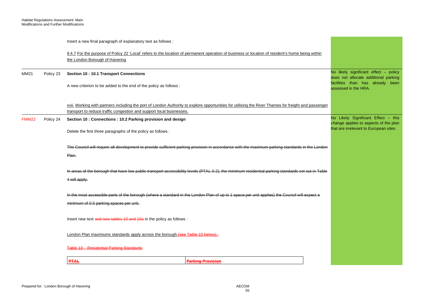|              |           | Insert a new final paragraph of explanatory text as follows :                                                                                   |                                                                                                                                                      |                                                                               |  |  |
|--------------|-----------|-------------------------------------------------------------------------------------------------------------------------------------------------|------------------------------------------------------------------------------------------------------------------------------------------------------|-------------------------------------------------------------------------------|--|--|
|              |           |                                                                                                                                                 | 9.4.7 For the purpose of Policy 22 'Local' refers to the location of permanent operation of business or location of resident's home being within     |                                                                               |  |  |
|              |           | the London Borough of Havering                                                                                                                  |                                                                                                                                                      |                                                                               |  |  |
| MM21         | Policy 23 | <b>Section 10: 10.1 Transport Connections</b>                                                                                                   |                                                                                                                                                      | No likely significant effect - policy<br>does not allocate additional parking |  |  |
|              |           | A new criterion to be added to the end of the policy as follows:                                                                                |                                                                                                                                                      | facilities than has already been<br>assessed in the HRA.                      |  |  |
|              |           | transport to reduce traffic congestion and support local businesses.                                                                            | xvii. Working with partners including the port of London Authority to explore opportunities for utilising the River Thames for freight and passenger |                                                                               |  |  |
| <b>FMM22</b> | Policy 24 | Section 10 : Connections : 10.2 Parking provision and design                                                                                    |                                                                                                                                                      | No Likely Significant Effect - this<br>change applies to aspects of the plan  |  |  |
|              |           | Delete the first three paragraphs of the policy as follows :                                                                                    |                                                                                                                                                      | that are irrelevant to European sites                                         |  |  |
|              |           | The Council will require all development to provide sufficient parking provision in accordance with the maximum parking standards in the London |                                                                                                                                                      |                                                                               |  |  |
|              |           | Plan.                                                                                                                                           |                                                                                                                                                      |                                                                               |  |  |
|              |           |                                                                                                                                                 | In areas of the borough that have low public transport accessibility levels (PTAL 0 2), the minimum residential parking standards set out in Table   |                                                                               |  |  |
|              |           | 4 will apply.                                                                                                                                   |                                                                                                                                                      |                                                                               |  |  |
|              |           |                                                                                                                                                 | In the most accessible parts of the borough (where a standard in the London Plan of up to 1 space per unit applies) the Council will expect a        |                                                                               |  |  |
|              |           | minimum of 0.5 parking spaces per unit.                                                                                                         |                                                                                                                                                      |                                                                               |  |  |
|              |           | lnsert new text and new tables 10 and 10a in the policy as follows :                                                                            |                                                                                                                                                      |                                                                               |  |  |
|              |           | London Plan maximums standards apply across the borough (see Table 10 below):                                                                   |                                                                                                                                                      |                                                                               |  |  |
|              |           | Table 10 - Residential Parking Standards                                                                                                        |                                                                                                                                                      |                                                                               |  |  |
|              |           | <b>PTAL</b>                                                                                                                                     | <b>Parking Provision</b>                                                                                                                             |                                                                               |  |  |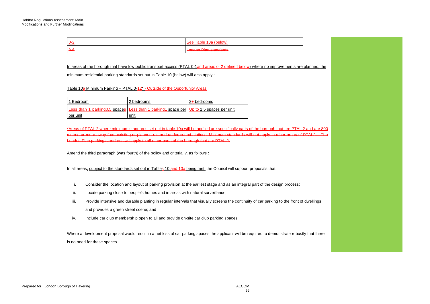| $\theta$ | Son Table 100 (below)<br><del>occ Table Tod (bclow)</del>    |
|----------|--------------------------------------------------------------|
| $3 - 6$  | . Dian etandarde<br>andon<br><del>Lunuun man sianuarus</del> |

In areas of the borough that have low public transport access (PTAL 0-1and areas of 2 defined below) where no improvements are planned, the

minimum residential parking standards set out in Table 10 (below) will also apply :

Table 10a Minimum Parking – PTAL 0-12<sup>\*</sup> - Outside of the Opportunity Areas

| 1 Bedroom | 2 bedrooms                                                                               | 3+ bedrooms |
|-----------|------------------------------------------------------------------------------------------|-------------|
|           | Less than 1 parking 0.5 spaces Less than 1 parking 1 space per Up to 1.5 spaces per unit |             |
| per unit  | unit                                                                                     |             |

 \*Areas of PTAL 2 where minimum standards set out in table 10a will be applied are specifically parts of the borough that are PTAL 2 and are 800 metres or more away from existing or planned rail and underground stations. Minimum standards will not apply in other areas of PTAL2. The London Plan parking standards will apply to all other parts of the borough that are PTAL 2.

Amend the third paragraph (was fourth) of the policy and criteria iv. as follows :

In all areas, subject to the standards set out in Tables 10 and 10a being met, the Council will support proposals that:

- i. Consider the location and layout of parking provision at the earliest stage and as an integral part of the design process;
- ii. Locate parking close to people's homes and in areas with natural surveillance;
- iii. Provide intensive and durable planting in regular intervals that visually screens the continuity of car parking to the front of dwellings and provides a green street scene; and
- iv. Include car club membership open to all and provide on-site car club parking spaces.

Where a development proposal would result in a net loss of car parking spaces the applicant will be required to demonstrate robustly that there is no need for these spaces.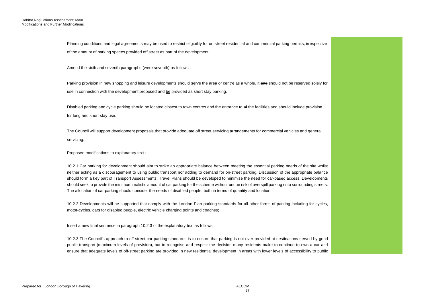Planning conditions and legal agreements may be used to restrict eligibility for on-street residential and commercial parking permits, irrespective of the amount of parking spaces provided off street as part of the development.

Amend the sixth and seventh paragraphs (were seventh) as follows :

Parking provision in new shopping and leisure developments should serve the area or centre as a whole. It and should not be reserved solely for use in connection with the development proposed and be provided as short stay parking.

Disabled parking and cycle parking should be located closest to town centres and the entrance to of the facilities and should include provision for long and short stay use.

The Council will support development proposals that provide adequate off street servicing arrangements for commercial vehicles and general servicing.

Proposed modifications to explanatory text :

 10.2.1 Car parking for development should aim to strike an appropriate balance between meeting the essential parking needs of the site whilst neither acting as a discouragement to using public transport nor adding to demand for on-street parking. Discussion of the appropriate balance should form a key part of Transport Assessments. Travel Plans should be developed to minimise the need for car-based access. Developments should seek to provide the minimum realistic amount of car parking for the scheme without undue risk of overspill parking onto surrounding streets. The allocation of car parking should consider the needs of disabled people, both in terms of quantity and location.

10.2.2 Developments will be supported that comply with the London Plan parking standards for all other forms of parking including for cycles, motor-cycles, cars for disabled people, electric vehicle charging points and coaches;

Insert a new final sentence in paragraph 10.2.3 of the explanatory text as follows :

 10.2.3 The Council's approach to off-street car parking standards is to ensure that parking is not over-provided at destinations served by good public transport (maximum levels of provision), but to recognise and respect the decision many residents make to continue to own a car and ensure that adequate levels of off-street parking are provided in new residential development in areas with lower levels of accessibility to public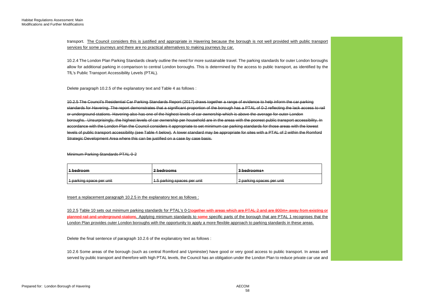transport. The Council considers this is justified and appropriate in Havering because the borough is not well provided with public transport services for some journeys and there are no practical alternatives to making journeys by car.

 allow for additional parking in comparison to central London boroughs. This is determined by the access to public transport, as identified by the 10.2.4 The London Plan Parking Standards clearly outline the need for more sustainable travel. The parking standards for outer London boroughs TfL's Public Transport Accessibility Levels (PTAL)*.* 

Delete paragraph 10.2.5 of the explanatory text and Table 4 as follows :

 or underground stations. Havering also has one of the highest levels of car ownership which is above the average for outer London 10.2.5 The Council's Residential Car Parking Standards Report (2017) draws together a range of evidence to help inform the car parking standards for Havering. The report demonstrates that a significant proportion of the borough has a PTAL of 0-2 reflecting the lack access to rail boroughs. Unsurprisingly, the highest levels of car ownership per household are in the areas with the poorest public transport accessibility. In accordance with the London Plan the Council considers it appropriate to set minimum car parking standards for those areas with the lowest levels of public transport accessibility (see Table 4 below). A lower standard may be appropriate for sites with a PTAL of 2 within the Romford Strategic Development Area where this can be justified on a case by case basis.

Minimum Parking Standards PTAL 0-2

| l 1 hadroom                       | 2 hodroome                              | ∣? hodroome⊥                       |
|-----------------------------------|-----------------------------------------|------------------------------------|
| <del>nvouroom</del>               | <del>L Deurooms</del>                   | <del>o pouroomor</del>             |
| narking engen nar unit            | 5 norking engege nor unit               | 2 norking engege nor unit          |
| <del>, punniy opato por umi</del> | <del>unio parking spaces per unit</del> | <del>u ki idy cooop pinnay 2</del> |

Insert a replacement paragraph 10.2.5 in the explanatory text as follows :

10.2.5 Table 10 sets out minimum parking standards for PTAL's 0-1<del>together with areas which are PTAL 2 and are 800m+ away from existing or</del> planned rail and underground stations. Applying minimum standards to some specific parts of the borough that are PTAL 1 recognises that the London Plan provides outer London boroughs with the opportunity to apply a more flexible approach to parking standards in these areas.

Delete the final sentence of paragraph 10.2.6 of the explanatory text as follows :

 10.2.6 Some areas of the borough (such as central Romford and Upminster) have good or very good access to public transport. In areas well served by public transport and therefore with high PTAL levels, the Council has an obligation under the London Plan to reduce private car use and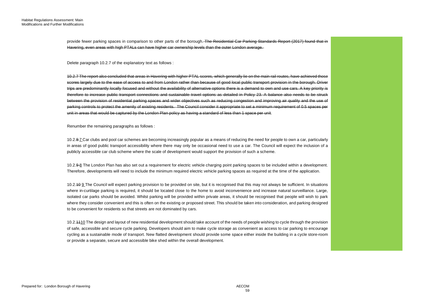provide fewer parking spaces in comparison to other parts of the borough. <del>The Residential Car Parking Standards Report (2017) found that in</del> Havering, even areas with high PTALs can have higher car ownership levels than the outer London average.

Delete paragraph 10.2.7 of the explanatory text as follows :

 10.2.7 The report also concluded that areas in Havering with higher PTAL scores, which generally lie on the main rail routes, have achieved those scores largely due to the ease of access to and from London rather than because of good local public transport provision in the borough. Driver trips are predominantly locally focused and without the availability of alternative options there is a demand to own and use cars. A key priority is therefore to increase public transport connections and sustainable travel options as detailed in Policy 23. A balance also needs to be struck between the provision of residential parking spaces and wider objectives such as reducing congestion and improving air quality and the use of parking controls to protect the amenity of existing residents. The Council consider it appropriate to set a minimum requirement of 0.5 spaces per unit in areas that would be captured by the London Plan policy as having a standard of less than 1 space per unit.

Renumber the remaining paragraphs as follows :

10.2.<del>8 Z</del>Car clubs and pool car schemes are becoming increasingly popular as a means of reducing the need for people to own a car, particularly in areas of good public transport accessibility where there may only be occasional need to use a car. The Council will expect the inclusion of a publicly accessible car club scheme where the scale of development would support the provision of such a scheme.

10.2.9 8 The London Plan has also set out a requirement for electric vehicle charging point parking spaces to be included within a development. Therefore, developments will need to include the minimum required electric vehicle parking spaces as required at the time of the application.

 where in-curtilage parking is required, it should be located close to the home to avoid inconvenience and increase natural surveillance. Large, isolated car parks should be avoided. Whilst parking will be provided within private areas, it should be recognised that people will wish to park where they consider convenient and this is often on the existing or proposed street. This should be taken into consideration, and parking designed to be convenient for residents so that streets are not dominated by cars. 10.2.10 9 The Council will expect parking provision to be provided on site, but it is recognised that this may not always be sufficient. In situations

10.2.4410 The design and layout of new residential development should take account of the needs of people wishing to cycle through the provision of safe, accessible and secure cycle parking. Developers should aim to make cycle storage as convenient as access to car parking to encourage cycling as a sustainable mode of transport. New flatted development should provide some space either inside the building in a cycle store-room or provide a separate, secure and accessible bike shed within the overall development.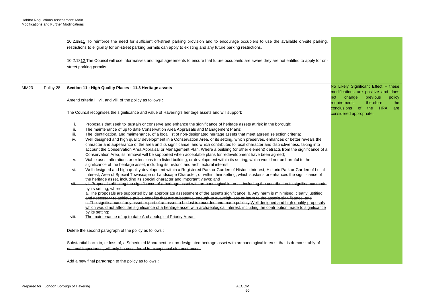10.2.<del>12</del>1<u>1</u> To reinforce the need for sufficient off-street parking provision and to encourage occupiers to use the available on-site parking, restrictions to eligibility for on-street parking permits can apply to existing and any future parking restrictions.

10.2.<del>1312</del> The Council will use informatives and legal agreements to ensure that future occupants are aware they are not entitled to apply for onstreet parking permits.

#### MM23 Policy 28 **Section 11 : High Quality Places : 11.3 Heritage assets**

Amend criteria i., vii. and viii. of the policy as follows :

The Council recognises the significance and value of Havering's heritage assets and will support: considered appropriate.

- i. Proposals that seek to sustain or conserve and enhance the significance of heritage assets at risk in the borough;
- ii. The maintenance of up to date Conservation Area Appraisals and Management Plans;
- iii. The identification, and maintenance, of a local list of non-designated heritage assets that meet agreed selection criteria;
- iv. Well designed and high quality development in a Conservation Area, or its setting, which preserves, enhances or better reveals the character and appearance of the area and its significance, and which contributes to local character and distinctiveness, taking into account the Conservation Area Appraisal or Management Plan. Where a building (or other element) detracts from the significance of a Conservation Area, its removal will be supported when acceptable plans for redevelopment have been agreed;
- v. Viable uses, alterations or extensions to a listed building, or development within its setting, which would not be harmful to the significance of the heritage asset, including its historic and architectural interest;
- vi. Well designed and high quality development within a Registered Park or Garden of Historic Interest, Historic Park or Garden of Local Interest, Area of Special Townscape or Landscape Character, or within their setting, which sustains or enhances the significance of the heritage asset, including its special character and important views; and

#### vii. vii. Proposals affecting the significance of a heritage asset with archaeological interest, including the contribution to significance made by its setting, where:

 a. The proposals are supported by an appropriate assessment of the asset's significance; b. Any harm is minimised, clearly justified and necessary to achieve public benefits that are substantial enough to outweigh loss or harm to the asset's significance; and c. The significance of any asset or part of an asset to be lost is recorded and made publicly Well designed and high quality proposals which would not affect the significance of a heritage asset with archaeological interest, including the contribution made to significance by its setting;

viii. The maintenance of up to date Archaeological Priority Areas;

Delete the second paragraph of the policy as follows :

Substantial harm to, or loss of, a Scheduled Monument or non-designated heritage asset with archaeological interest that is demonstrably of national importance, will only be considered in exceptional circumstances.

Add a new final paragraph to the policy as follows :

 No Likely Significant Effect – these modifications are positive and does not change previous policy requirements therefore the conclusions of the HRA are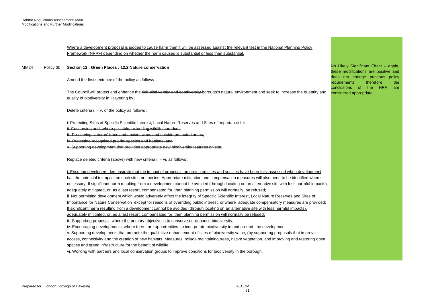|      |           | Where a development proposal is judged to cause harm then it will be assessed against the relevant test in the National Planning Policy<br>Framework (NPPF) depending on whether the harm caused is substantial or less than substantial. |                                                                                                                |
|------|-----------|-------------------------------------------------------------------------------------------------------------------------------------------------------------------------------------------------------------------------------------------|----------------------------------------------------------------------------------------------------------------|
| MM24 | Policy 30 | Section 12 : Green Places : 12.2 Nature conservation                                                                                                                                                                                      | No Likely Significant Effect - again,<br>these modifications are positive and                                  |
|      |           | Amend the first sentence of the policy as follows :                                                                                                                                                                                       | does not change previous policy<br>therefore<br>requirements<br>the<br><b>HRA</b><br>conclusions of the<br>are |
|      |           | The Council will protect and enhance the rich biodiversity and geodiversity borough's natural environment and seek to increase the quantity and                                                                                           | considered appropriate.                                                                                        |
|      |           | quality of biodiversity in Havering by :                                                                                                                                                                                                  |                                                                                                                |
|      |           | Delete criteria $i. - v.$ of the policy as follows :                                                                                                                                                                                      |                                                                                                                |
|      |           | i. Protecting Sites of Specific Scientific Interest, Local Nature Reserves and Sites of Importance for                                                                                                                                    |                                                                                                                |
|      |           | ii. Conserving and, where possible, extending wildlife corridors;                                                                                                                                                                         |                                                                                                                |
|      |           | iii. Preserving 'veteran' trees and ancient woodland outside protected areas;                                                                                                                                                             |                                                                                                                |
|      |           | iv. Protecting recognised priority species and habitats; and                                                                                                                                                                              |                                                                                                                |
|      |           | v. Supporting development that provides appropriate new biodiversity features on site.                                                                                                                                                    |                                                                                                                |
|      |           | Replace deleted criteria (above) with new criteria i. - vi. as follows :                                                                                                                                                                  |                                                                                                                |
|      |           | i. Ensuring developers demonstrate that the impact of proposals on protected sites and species have been fully assessed when development                                                                                                  |                                                                                                                |
|      |           | has the potential to impact on such sites or species. Appropriate mitigation and compensation measures will also need to be identified where                                                                                              |                                                                                                                |
|      |           | necessary. If significant harm resulting from a development cannot be avoided (through locating on an alternative site with less harmful impacts),                                                                                        |                                                                                                                |
|      |           | adequately mitigated, or, as a last resort, compensated for, then planning permission will normally be refused;                                                                                                                           |                                                                                                                |
|      |           | ii. Not permitting development which would adversely affect the integrity of Specific Scientific Interest, Local Nature Reserves and Sites of                                                                                             |                                                                                                                |
|      |           | Importance for Nature Conservation except for reasons of overriding public interest, or where adequate compensatory measures are provided;                                                                                                |                                                                                                                |
|      |           | If significant harm resulting from a development cannot be avoided (through locating on an alternative site with less harmful impacts),                                                                                                   |                                                                                                                |
|      |           | adequately mitigated, or, as a last resort, compensated for, then planning permission will normally be refused;                                                                                                                           |                                                                                                                |
|      |           | iii. Supporting proposals where the primary objective is to conserve or enhance biodiversity;                                                                                                                                             |                                                                                                                |
|      |           | iv. Encouraging developments where there are opportunities to incorporate biodiversity in and around the development;                                                                                                                     |                                                                                                                |
|      |           | y. Supporting developments that promote the qualitative enhancement of sites of biodiversity value. (by supporting proposals that improve                                                                                                 |                                                                                                                |
|      |           | access, connectivity and the creation of new habitats. Measures include maintaining trees, native vegetation, and improving and restoring open                                                                                            |                                                                                                                |
|      |           | spaces and green infrastructure for the benefit of wildlife;                                                                                                                                                                              |                                                                                                                |
|      |           | vi. Working with partners and local conservation groups to improve conditions for biodiversity in the borough.                                                                                                                            |                                                                                                                |
|      |           |                                                                                                                                                                                                                                           |                                                                                                                |

<u> 1989 - Johann Barn, mars ar breithinn ar chuid ann an t-</u>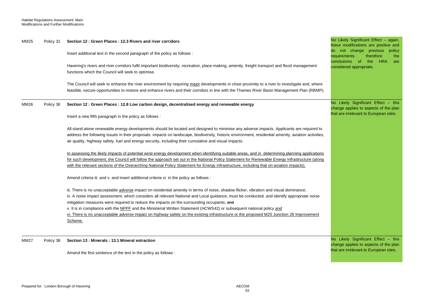| MM25        | Policy 31 | Section 12 : Green Places : 12.3 Rivers and river corridors<br>lnsert additional text in the second paragraph of the policy as follows :<br>Havering's rivers and river corridors fulfil important biodiversity, recreation, place-making, amenity, freight transport and flood management<br>functions which the Council will seek to optimise.<br>The Council will seek to enhance the river environment by requiring major developments in close proximity to a river to investigate and, where<br>feasible, secure opportunities to restore and enhance rivers and their corridors in line with the Thames River Basin Management Plan (RBMP).                | No Likely Significant Effect - again,<br>these modifications are positive and<br>not change previous policy<br>therefore<br>requirements<br>the<br><b>HRA</b><br>conclusions of<br>the<br>are<br>considered appropriate. |
|-------------|-----------|-------------------------------------------------------------------------------------------------------------------------------------------------------------------------------------------------------------------------------------------------------------------------------------------------------------------------------------------------------------------------------------------------------------------------------------------------------------------------------------------------------------------------------------------------------------------------------------------------------------------------------------------------------------------|--------------------------------------------------------------------------------------------------------------------------------------------------------------------------------------------------------------------------|
| MM26        | Policy 36 | Section 12 : Green Places : 12.8 Low carbon design, decentralised energy and renewable energy<br>Insert a new fifth paragraph in the policy as follows:                                                                                                                                                                                                                                                                                                                                                                                                                                                                                                           | No Likely Significant Effect - this<br>change applies to aspects of the plan<br>that are irrelevant to European sites.                                                                                                   |
|             |           | All stand-alone renewable energy developments should be located and designed to minimise any adverse impacts. Applicants are required to<br>address the following issues in their proposals: impacts on landscape, biodiversity, historic environment, residential amenity, aviation activities,<br>air quality, highway safety, fuel and energy security, including their cumulative and visual impacts.                                                                                                                                                                                                                                                         |                                                                                                                                                                                                                          |
|             |           | In assessing the likely impacts of potential wind energy development when identifying suitable areas, and in determining planning applications<br>for such development, the Council will follow the approach set out in the National Policy Statement for Renewable Energy Infrastructure (along<br>with the relevant sections of the Overarching National Policy Statement for Energy Infrastructure, including that on aviation impacts).                                                                                                                                                                                                                       |                                                                                                                                                                                                                          |
|             |           | Amend criteria iii. and v. and insert additional criteria vi. in the policy as follows :                                                                                                                                                                                                                                                                                                                                                                                                                                                                                                                                                                          |                                                                                                                                                                                                                          |
|             |           | iii. There is no unacceptable adverse impact on residential amenity in terms of noise, shadow flicker, vibration and visual dominance;<br>iv. A noise impact assessment, which considers all relevant National and Local guidance, must be conducted, and identify appropriate noise<br>mitigation measures were required to reduce the impacts on the surrounding occupants; and<br>v. It is in compliance with the NPPF and the Ministerial Written Statement (HCWS42) or subsequent national policy and<br>vi. There is no unacceptable adverse impact on highway safety on the existing infrastructure or the proposed M25 Junction 28 Improvement<br>Scheme. |                                                                                                                                                                                                                          |
| <b>MM27</b> | Policy 38 | Section 13 : Minerals : 13.1 Mineral extraction                                                                                                                                                                                                                                                                                                                                                                                                                                                                                                                                                                                                                   | No Likely Significant Effect - this<br>change applies to aspects of the plan<br>that are irrelevant to European sites.                                                                                                   |
|             |           | Amend the first sentence of the text in the policy as follows:                                                                                                                                                                                                                                                                                                                                                                                                                                                                                                                                                                                                    |                                                                                                                                                                                                                          |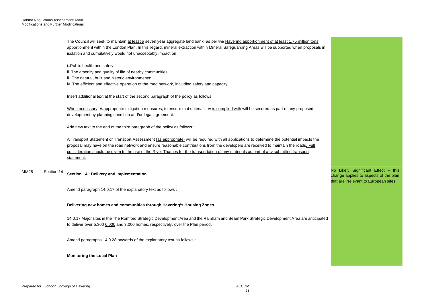|                    | The Council will seek to maintain at least a seven year aggregate land bank, as per the Havering apportionment of at least 1.75 million tons<br>apportionment-within the London Plan. In this regard, mineral extraction within Mineral Safeguarding Areas will be supported when proposals in<br>isolation and cumulatively would not unacceptably impact on : |                                                                                                                       |
|--------------------|-----------------------------------------------------------------------------------------------------------------------------------------------------------------------------------------------------------------------------------------------------------------------------------------------------------------------------------------------------------------|-----------------------------------------------------------------------------------------------------------------------|
|                    | i. Public health and safety;                                                                                                                                                                                                                                                                                                                                    |                                                                                                                       |
|                    | ii. The amenity and quality of life of nearby communities;                                                                                                                                                                                                                                                                                                      |                                                                                                                       |
|                    | iii. The natural, built and historic environments:                                                                                                                                                                                                                                                                                                              |                                                                                                                       |
|                    | iv. The efficient and effective operation of the road network, including safety and capacity.                                                                                                                                                                                                                                                                   |                                                                                                                       |
|                    | Insert additional text at the start of the second paragraph of the policy as follows :                                                                                                                                                                                                                                                                          |                                                                                                                       |
|                    | When necessary, A-appropriate mitigation measures, to ensure that criteria i.- iv is complied with will be secured as part of any proposed                                                                                                                                                                                                                      |                                                                                                                       |
|                    | development by planning condition and/or legal agreement.                                                                                                                                                                                                                                                                                                       |                                                                                                                       |
|                    | Add new text to the end of the third paragraph of the policy as follows :                                                                                                                                                                                                                                                                                       |                                                                                                                       |
|                    | A Transport Statement or Transport Assessment (as appropriate) will be required with all applications to determine the potential impacts the                                                                                                                                                                                                                    |                                                                                                                       |
|                    | proposal may have on the road network and ensure reasonable contributions from the developers are received to maintain the roads. Full                                                                                                                                                                                                                          |                                                                                                                       |
|                    | consideration should be given to the use of the River Thames for the transportation of any materials as part of any submitted transport                                                                                                                                                                                                                         |                                                                                                                       |
|                    | statement.                                                                                                                                                                                                                                                                                                                                                      |                                                                                                                       |
| MM28<br>Section 14 | Section 14 : Delivery and Implementation                                                                                                                                                                                                                                                                                                                        | No Likely Significant Effect - this<br>change applies to aspects of the plan<br>that are irrelevant to European sites |
|                    | Amend paragraph 14.0.17 of the explanatory text as follows :                                                                                                                                                                                                                                                                                                    |                                                                                                                       |
|                    | Delivering new homes and communities through Havering's Housing Zones                                                                                                                                                                                                                                                                                           |                                                                                                                       |
|                    | 14.0.17 Major sites in the The Romford Strategic Development Area and the Rainham and Beam Park Strategic Development Area are anticipated<br>to deliver over 5,300 6,000 and 3,000 homes, respectively, over the Plan period.                                                                                                                                  |                                                                                                                       |
|                    | Amend paragraphs 14.0.28 onwards of the explanatory text as follows :                                                                                                                                                                                                                                                                                           |                                                                                                                       |
|                    | <b>Monitoring the Local Plan</b>                                                                                                                                                                                                                                                                                                                                |                                                                                                                       |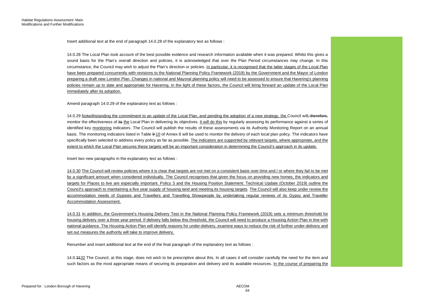Insert additional text at the end of paragraph 14.0.28 of the explanatory text as follows :

 14.0.28 The Local Plan took account of the best possible evidence and research information available when it was prepared. Whilst this gives a sound basis for the Plan's overall direction and policies, it is acknowledged that over the Plan Period circumstances may change. In this have been prepared concurrently with revisions to the National Planning Policy Framework (2019) by the Government and the Mayor of London preparing a draft new London Plan. Changes in national and Mayoral planning policy will need to be assessed to ensure that Havering's planning circumstance, the Council may wish to adjust the Plan's direction or policies. In particular, it is recognised that the latter stages of the Local Plan policies remain up to date and appropriate for Havering. In the light of these factors, the Council will bring forward an update of the Local Plan immediately after its adoption.

Amend paragraph 14.0.29 of the explanatory text as follows :

14.0.29 Notwithstanding the commitment to an update of the Local Plan, and pending the adoption of a new strategy, the Council will<del>, therefore,</del> monitor the effectiveness of <del>its</del> <u>the</u> Local Plan in delivering its objectives. <u>It will do this</u> by regularly assessing its performance against a series of identified key monitoring indicators. The Council will publish the results of these assessments via its Authority Monitoring Report on an annual specifically been selected to address every policy as far as possible. The indicators are supported by relevant targets, where appropriate, and the basis. The monitoring indicators listed in Table 9-10 of Annex 8 will be used to monitor the delivery of each local plan policy. The indicators have extent to which the Local Plan secures these targets will be an important consideration in determining the Council's approach in its update.

Insert two new paragraphs in the explanatory text as follows :

 by a significant amount when considered individually. The Council recognises that given the focus on providing new homes, the indicators and accommodation needs of Gypsies and Travellers and Travelling Showpeople by undertaking regular reviews of its Gypsy and Traveller 14.0.30 The Council will review policies where it is clear that targets are not met on a consistent basis over time and / or where they fail to be met targets for Places to live are especially important. Policy 3 and the Housing Position Statement: Technical Update (October 2019) outline the Council's approach to maintaining a five year supply of housing land and meeting its housing targets. The Council will also keep under review the Accommodation Assessment.

 14.0.31 In addition, the Government's Housing Delivery Test in the National Planning Policy Framework (2019) sets a minimum threshold for housing delivery over a three year period. If delivery falls below this threshold, the Council will need to produce a Housing Action Plan in line with national guidance. The Housing Action Plan will identify reasons for under-delivery, examine ways to reduce the risk of further under-delivery and set out measures the authority will take to improve delivery.

Renumber and insert additional text at the end of the final paragraph of the explanatory text as follows :

14.0.<del>3132</del> The Council, at this stage, does not wish to be prescriptive about this. In all cases it will consider carefully the need for the item and such factors as the most appropriate means of securing its preparation and delivery and its available resources. In the course of preparing the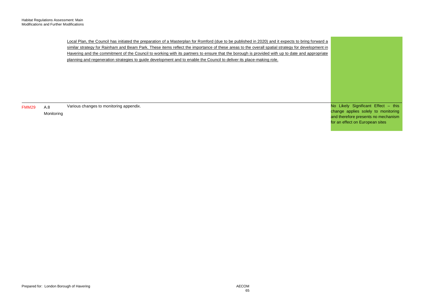Local Plan, the Council has initiated the preparation of a Masterplan for Romford (due to be published in 2020) and it expects to bring forward a Havering and the commitment of the Council to working with its partners to ensure that the borough is provided with up to date and appropriate planning and regeneration strategies to guide development and to enable the Council to deliver its place-making role. similar strategy for Rainham and Beam Park. These items reflect the importance of these areas to the overall spatial strategy for development in

FMM29 A.8 Monitoring Various changes to monitoring appendix. No Likely Significant Effect - this change applies solely to monitoring and therefore presents no mechanism for an effect on European sites